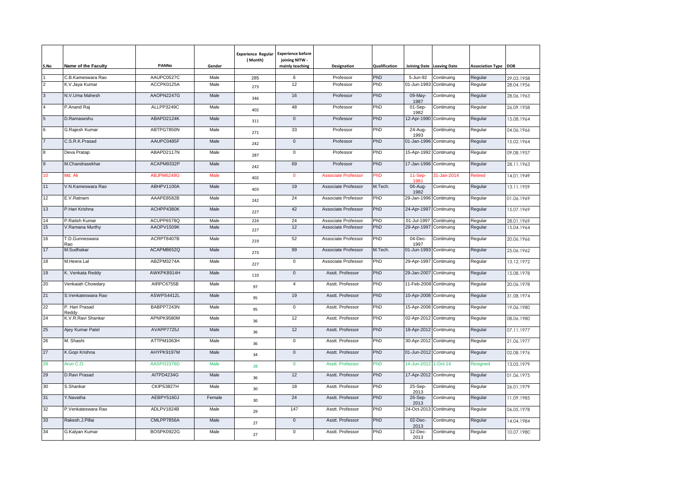| S.No | Name of the Faculty     | <b>PANNo</b>      | Gender | <b>Experience Regular</b><br>(Month) | <b>Experience before</b><br>joining NITW -<br>mainly teaching | Designation                | Qualification |                        | Joining Date Leaving Date | <b>Association Type DOB</b> |            |
|------|-------------------------|-------------------|--------|--------------------------------------|---------------------------------------------------------------|----------------------------|---------------|------------------------|---------------------------|-----------------------------|------------|
|      | C.B.Kameswara Rao       | AAUPC0527C        | Male   | 285                                  | 6                                                             | Professor                  | PhD           | 5-Jun-92               | Continuing                | Regular                     | 29.03.1958 |
| 2    | K.V.Jaya Kumar          | ACCPK0125A        | Male   | 273                                  | 12                                                            | Professor                  | PhD           | 01-Jun-1993            | Continuing                | Regular                     | 28.04.1956 |
| 3    | N.V.Uma Mahesh          | AAOPN2247G        | Male   | 346                                  | 16                                                            | Professor                  | PhD           | 09-May-<br>1987        | Continuing                | Regular                     | 28.06.1963 |
|      | P.Anand Raj             | ALLPP3249C        | Male   | 402                                  | 48                                                            | Professor                  | PhD           | 01-Sep-<br>1982        | Continuing                | Regular                     | 26.09.1958 |
| 5    | D.Ramaseshu             | ABAPD2124K        | Male   | 311                                  | $\mathbf{0}$                                                  | Professor                  | PhD           | 12-Apr-1990 Continuing |                           | Regular                     | 15.08.1964 |
| 6    | G.Rajesh Kumar          | ABTPG7850N        | Male   | 271                                  | 33                                                            | Professor                  | PhD           | 24-Aug-<br>1993        | Continuing                | Regular                     | 04.06.1966 |
|      | C.S.R.K.Prasad          | AAUPC0485F        | Male   | 242                                  | $\mathsf{O}\xspace$                                           | Professor                  | PhD           | 01-Jan-1996 Continuing |                           | Regular                     | 15.02.1964 |
| 8    | Deva Pratap             | ABAPD2117N        | Male   | 287                                  | 0                                                             | Professor                  | PhD           | 15-Apr-1992 Continuing |                           | Regular                     | 09.08.1957 |
| 9    | M.Chandrasekhar         | ACAPM9332P        | Male   | 242                                  | 69                                                            | Professor                  | PhD           | 17-Jan-1996 Continuing |                           | Regular                     | 28.11.1963 |
| 10   | Md. Ali                 | ABJPM6248G        | Male   | 402                                  | $\mathbf 0$                                                   | <b>Associate Professor</b> | PhD           | 11-Sep-<br>1981        | 31-Jan-2014               | Retired                     | 14.01.1949 |
| 11   | V.N.Kameswara Rao       | ABHPV1100A        | Male   | 403                                  | 19                                                            | Associate Professor        | M.Tech.       | 06-Aug-<br>1982        | Continuing                | Regular                     | 13.11.1959 |
| 12   | E.V.Ratnam              | AAAPE8582B        | Male   | 242                                  | 24                                                            | Associate Professor        | PhD           | 29-Jan-1996 Continuing |                           | Regular                     | 01.06.1969 |
| 13   | P.Hari Krishna          | ACHPP4380K        | Male   | 227                                  | 42                                                            | Associate Professor        | PhD           | 24-Apr-1997            | Continuing                | Regular                     | 15.07.1969 |
| 14   | P.Ratish Kumar          | ACUPP6578Q        | Male   | 224                                  | 24                                                            | Associate Professor        | PhD           | 01-Jul-1997            | Continuing                | Regular                     | 28.01.1969 |
| 15   | V.Ramana Murthy         | AAOPV1509K        | Male   | 227                                  | 12                                                            | Associate Professor        | PhD           | 29-Apr-1997            | Continuing                | Regular                     | 15.04.1964 |
| 16   | T.D.Gunneswara<br>Rao   | ACRPT8407B        | Male   | 219                                  | 52                                                            | Associate Professor        | PhD           | 04-Dec-<br>1997        | Continuing                | Regular                     | 20.06.1966 |
| 17   | M.Sudhakar              | ACAPM8652Q        | Male   | 273                                  | 99                                                            | Associate Professor        | M.Tech.       | 01-Jun-1993 Continuing |                           | Regular                     | 25.06.1962 |
| 18   | M.Heera Lal             | ABZPM3274A        | Male   | 227                                  | 0                                                             | Associate Professor        | PhD           | 29-Apr-1997 Continuing |                           | Regular                     | 13.12.1972 |
| 19   | K. Venkata Reddy        | AWKPK8914H        | Male   | 110                                  | $\mathbf 0$                                                   | Asstt. Professor           | PhD           | 29-Jan-2007            | Continuing                | Regular                     | 15.08.1978 |
| 20   | Venkaiah Chowdary       | AIRPC6755B        | Male   | 97                                   | $\overline{4}$                                                | Asstt. Professor           | PhD           | 11-Feb-2008 Continuing |                           | Regular                     | 20.06.1978 |
| 21   | S.Venkateswara Rao      | ASWPS4412L        | Male   | 95                                   | 19                                                            | Asstt. Professor           | PhD           | 10-Apr-2008 Continuing |                           | Regular                     | 31.08.1974 |
| 22   | P. Hari Prasad<br>Reddv | BABPP7243N        | Male   | 95                                   | 0                                                             | Asstt. Professor           | PhD           | 15-Apr-2008 Continuing |                           | Regular                     | 19.06.1980 |
| 24   | K.V.R.Ravi Shankar      | APNPK9580M        | Male   | 36                                   | 12                                                            | Asstt. Professor           | PhD           | 02-Apr-2012 Continuing |                           | Regular                     | 08.06.1980 |
| 25   | Ajey Kumar Patel        | AVAPP7725J        | Male   | 36                                   | 12                                                            | Asstt. Professor           | PhD           | 18-Apr-2012 Continuing |                           | Regular                     | 07.11.1977 |
| 26   | M. Shashi               | ATTPM1063H        | Male   | 36                                   | 0                                                             | Asstt. Professor           | PhD           | 30-Apr-2012 Continuing |                           | Regular                     | 21.06.1977 |
| 27   | K.Gopi Krishna          | AHYPK9197M        | Male   | 34                                   | $\mathbf{0}$                                                  | Asstt. Professor           | PhD           | 01-Jun-2012 Continuing |                           | Regular                     | 02.08.1976 |
| 28   | Arun C.O.               | AASPO2376D        | Male   | 28                                   | $\mathbf 0$                                                   | <b>Asstt. Professor</b>    | PhD           | 14-Jun-2012            | $1-Oct-14$                | Resigned                    | 13.05.1979 |
| 29   | D.Ravi Prasad           | AITPD4234G        | Male   | 36                                   | 12                                                            | Asstt. Professor           | PhD           | 17-Apr-2012            | Continuing                | Regular                     | 01.06.1975 |
| 30   | S.Shankar               | CKIPS3827H        | Male   | 30                                   | 18                                                            | Asstt. Professor           | PhD           | 25-Sep-<br>2013        | Continuing                | Regular                     | 26.01.1979 |
| 31   | Y.Navatha               | AEBPY5160J        | Female | 30                                   | 24                                                            | Asstt. Professor           | PhD           | 26-Sep-<br>2013        | Continuing                | Regular                     | 11.09.1985 |
| 32   | P.Venkateswara Rao      | ADLPV1824B        | Male   | 29                                   | 147                                                           | Asstt. Professor           | PhD           | 24-Oct-2013            | Continuing                | Regular                     | 06.05.1978 |
| 33   | Rakesh.J.Pillai         | CMLPP7856A        | Male   | 27                                   | $\mathbf{0}$                                                  | Asstt. Professor           | PhD           | $02$ -Dec-<br>2013     | Continuing                | Regular                     | 14.04.1984 |
| 34   | G.Kalyan Kumar          | <b>BOSPK0922G</b> | Male   | 27                                   | 0                                                             | Asstt. Professor           | PhD           | 12-Dec-<br>2013        | Continuing                | Regular                     | 10.07.1980 |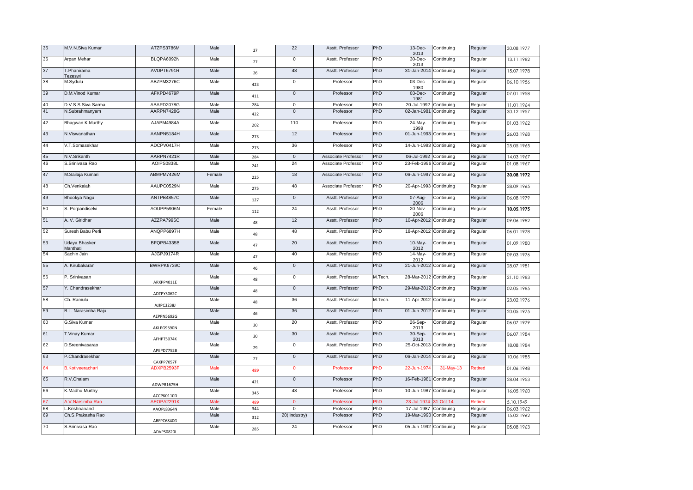| 35 | M.V.N.Siva Kumar          | ATZPS3786M        | Male   | 27  | 22             | Asstt. Professor    | PhD     | $13$ -Dec-<br>2013     | Continuing | Regular        | 30.08.1977 |
|----|---------------------------|-------------------|--------|-----|----------------|---------------------|---------|------------------------|------------|----------------|------------|
| 36 | Arpan Mehar               | BLQPA6092N        | Male   | 27  | 0              | Asstt. Professor    | PhD     | 30-Dec-<br>2013        | Continuing | Regular        | 13.11.1982 |
| 37 | T.Phanirama<br>Tezeswi    | AVDPT6791R        | Male   | 26  | 48             | Asstt. Professor    | PhD     | 31-Jan-2014            | Continuing | Regular        | 15.07.1978 |
| 38 | M.Sydulu                  | ABZPM3276C        | Male   | 423 | 0              | Professor           | PhD     | 03-Dec-<br>1980        | Continuing | Regular        | 06.10.1956 |
| 39 | D.M.Vinod Kumar           | AFKPD4679P        | Male   | 411 | $\mathbf{0}$   | Professor           | PhD     | $03$ -Dec-<br>1981     | Continuing | Regular        | 07.01.1958 |
| 40 | D.V.S.S.Siva Sarma        | ABAPD2078G        | Male   | 284 | 0              | Professor           | PhD     | 20-Jul-1992            | Continuing | Regular        | 11.01.1964 |
| 41 | N.Subrahmanyam            | AARPN7428G        | Male   | 422 | $\mathbf{0}$   | Professor           | PhD     | 02-Jan-1981            | Continuing | Regular        | 30.12.1957 |
| 42 | Bhagwan K.Murthy          | AJAPM4984A        | Male   | 202 | 110            | Professor           | PhD     | 24-May-<br>1999        | Continuing | Regular        | 01.03.1962 |
| 43 | N.Viswanathan             | AANPN5184H        | Male   | 273 | 12             | Professor           | PhD     | 01-Jun-1993            | Continuing | Regular        | 26.03.1968 |
| 44 | V.T.Somasekhar            | ADCPV0417H        | Male   | 273 | 36             | Professor           | PhD     | 14-Jun-1993            | Continuing | Regular        | 25.05.1965 |
| 45 | N.V.Srikanth              | AARPN7421R        | Male   | 284 | $\mathbf 0$    | Associate Professor | PhD     | 06-Jul-1992            | Continuing | Regular        | 14.03.1967 |
| 46 | S.Srinivasa Rao           | AOIPS0838L        | Male   | 241 | 24             | Associate Professor | PhD     | 23-Feb-1996            | Continuing | Regular        | 01.08.1967 |
| 47 | M.Sailaja Kumari          | ABMPM7426M        | Female | 225 | 18             | Associate Professor | PhD     | 06-Jun-1997            | Continuing | Regular        | 30.08.1972 |
| 48 | Ch.Venkaiah               | AAUPC0529N        | Male   | 275 | 48             | Associate Professor | PhD     | 20-Apr-1993            | Continuing | Regular        | 28.09.1965 |
| 49 | Bhookya Nagu              | ANTPB4857C        | Male   | 127 | $\overline{0}$ | Asstt. Professor    | PhD     | 07-Aug-<br>2006        | Continuing | Regular        | 06.08.1979 |
| 50 | S. Porpandiselvi          | AOUPP5906N        | Female | 112 | 24             | Asstt. Professor    | PhD     | 20-Nov-<br>2006        | Continuing | Regular        | 10.05.1975 |
| 51 | A. V. Giridhar            | AZZPA7995C        | Male   | 48  | 12             | Asstt. Professor    | PhD     | 10-Apr-2012            | Continuing | Regular        | 09.06.1982 |
| 52 | Suresh Babu Perli         | ANQPP6897H        | Male   | 48  | 48             | Asstt. Professor    | PhD     | 18-Apr-2012            | Continuing | Regular        | 06.01.1978 |
| 53 | Udaya Bhasker<br>Manthati | BFQPB4335B        | Male   | 47  | 20             | Asstt. Professor    | PhD     | 10-May-<br>2012        | Continuing | Regular        | 01.09.1980 |
| 54 | Sachin Jain               | AJGPJ9174R        | Male   | 47  | 40             | Asstt. Professor    | PhD     | 14-May-<br>2012        | Continuing | Regular        | 09.03.1976 |
| 55 | A. Kirubakaran            | BWRPK6739C        | Male   | 46  | $\mathbf 0$    | Asstt. Professor    | PhD     | 21-Jun-2012            | Continuing | Regular        | 28.07.1981 |
| 56 | P. Srinivasan             | ARXPP4011E        | Male   | 48  | 0              | Asstt. Professor    | M.Tech. | 28-Mar-2012            | Continuing | Regular        | 21.10.1983 |
| 57 | Y. Chandrasekhar          | ADTPY3062C        | Male   | 48  | $\mathbf 0$    | Asstt. Professor    | PhD     | 29-Mar-2012            | Continuing | Regular        | 02.05.1985 |
| 58 | Ch. Ramulu                | AJJPC3238J        | Male   | 48  | 36             | Asstt. Professor    | M.Tech. | 11-Apr-2012            | Continuing | Regular        | 23.02.1976 |
| 59 | B.L. Narasimha Raju       | AEPPN5692G        | Male   | 46  | 36             | Asstt. Professor    | PhD     | 01-Jun-2012 Continuing |            | Regular        | 20.05.1975 |
| 60 | G.Siva Kumar              | AKLPG9590N        | Male   | 30  | 20             | Asstt. Professor    | PhD     | 26-Sep-<br>2013        | Continuing | Regular        | 06.07.1979 |
| 61 | T.Vinay Kumar             | <b>AFHPT5074K</b> | Male   | 30  | 30             | Asstt. Professor    | PhD     | 30-Sep-<br>2013        | Continuing | Regular        | 06.07.1984 |
| 62 | D.Sreenivasarao           | APEPD7752B        | Male   | 29  | $\overline{0}$ | Asstt. Professor    | PhD     | 25-Oct-2013            | Continuing | Regular        | 18.08.1984 |
| 63 | P.Chandrasekhar           | CAXPP7057F        | Male   | 27  | $\mathbf{0}$   | Asstt. Professor    | PhD     | 06-Jan-2014            | Continuing | Regular        | 10.06.1985 |
| 64 | <b>B.Kotiveerachari</b>   | ADXPB2593F        | Male   | 489 | $\mathbf{0}$   | Professor           | PhD     | 22-Jun-1974            | 31-May-13  | <b>Retired</b> | 01.06.1948 |
| 65 | R.V.Chalam                | ADWPR1675H        | Male   | 421 | $\mathbf{0}$   | Professor           | PhD     | 16-Feb-1981            | Continuing | Regular        | 28.04.1953 |
| 66 | K.Madhu Murthy            | ACCPK0110D        | Male   | 345 | 48             | Professor           | PhD     | 10-Jun-1987            | Continuing | Regular        | 16.05.1960 |
| 67 | A.V.Narsimha Rao          | AEOPA2291K        | Male   | 489 | $\mathbf{0}$   | Professor           | PhD     | 23-Jul-1974            | 31-Oct-14  | Retired        | 5.10.1949  |
| 68 | L.Krishnanand             | AAOPL8364N        | Male   | 344 | $\mathbf 0$    | Professor           | PhD     | 17-Jul-1987            | Continuing | Regular        | 06.03.1962 |
| 69 | Ch.S.Prakasha Rao         | ABFPC6840G        | Male   | 312 | 20(industry)   | Professor           | PhD     | 19-Mar-1990            | Continuing | Regular        | 15.02.1962 |
| 70 | S.Srinivasa Rao           | ADVPS0820L        | Male   | 285 | 24             | Professor           | PhD     | 05-Jun-1992 Continuing |            | Regular        | 05.08.1963 |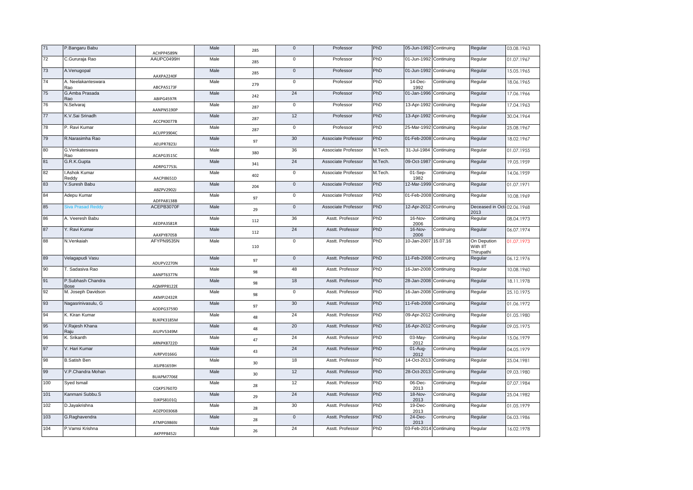| 71  | P.Bangaru Babu                   | ACHPP4589N | Male | 285 | $\mathbf 0$     | Professor           | PhD     | 05-Jun-1992 Continuing |            | Regular                               | 03.08.1963 |
|-----|----------------------------------|------------|------|-----|-----------------|---------------------|---------|------------------------|------------|---------------------------------------|------------|
| 72  | C.Gururaja Rao                   | AAUPC0499H | Male | 285 | 0               | Professor           | PhD     | 01-Jun-1992            | Continuing | Regular                               | 01.07.1967 |
| 73  | A.Venugopal                      | AAXPA2240F | Male | 285 | $\overline{0}$  | Professor           | PhD     | 01-Jun-1992            | Continuing | Regular                               | 15.05.1965 |
| 74  | A. Neelakanteswara<br>Rao        | ABCPA5173F | Male | 279 | $\mathbf 0$     | Professor           | PhD     | 14-Dec-<br>1992        | Continuing | Regular                               | 18.06.1965 |
| 75  | G.Amba Prasada<br>Rao            | ABIPG4597R | Male | 242 | 24              | Professor           | PhD     | 01-Jan-1996            | Continuing | Regular                               | 17.06.1966 |
| 76  | N.Selvaraj                       | AANPN5190P | Male | 287 | 0               | Professor           | PhD     | 13-Apr-1992            | Continuing | Regular                               | 17.04.1963 |
| 77  | K.V.Sai Srinadh                  | ACCPK0077B | Male | 287 | 12              | Professor           | PhD     | 13-Apr-1992            | Continuing | Regular                               | 30.04.1964 |
| 78  | P. Ravi Kumar                    | ACUPP3904C | Male | 287 | $\overline{0}$  | Professor           | PhD     | 25-Mar-1992            | Continuing | Regular                               | 25.08.1967 |
| 79  | R.Narasimha Rao                  | AEUPR7823J | Male | 97  | 30 <sup>°</sup> | Associate Professor | PhD     | 01-Feb-2008 Continuing |            | Regular                               | 18.02.1967 |
| 80  | G.Venkateswara<br>Rao            | ACAPG3515C | Male | 380 | 36              | Associate Professor | M.Tech. | 31-Jul-1984            | Continuing | Regular                               | 01.07.1955 |
| 81  | G.R.K.Gupta                      | ADRPG7753L | Male | 341 | 24              | Associate Professor | M.Tech. | 09-Oct-1987            | Continuing | Regular                               | 19.05.1959 |
| 82  | I.Ashok Kumar<br>Reddy           | AACPI8651D | Male | 402 | $\mathbf 0$     | Associate Professor | M.Tech. | 01-Sep-<br>1982        | Continuing | Regular                               | 14.06.1959 |
| 83  | V.Suresh Babu                    | ABZPV2902J | Male | 204 | $\mathbf 0$     | Associate Professor | PhD     | 12-Mar-1999            | Continuing | Regular                               | 01.07.1971 |
| 84  | Adepu Kumar                      | ADFPA8138B | Male | 97  | 0               | Associate Professor | PhD     | 01-Feb-2008            | Continuing | Regular                               | 10.08.1969 |
| 85  | <b>Siva Prasad Reddy</b>         | ACEPB3070F | Male | 29  | $\mathbf 0$     | Associate Professor | PhD     | 12-Apr-2012            | Continuing | Deceased in Oct-<br>2013              | 02.06.1968 |
| 86  | A. Veeresh Babu                  | AEDPA3581R | Male | 112 | 36              | Asstt. Professor    | PhD     | 16-Nov-<br>2006        | Continuing | Regular                               | 08.04.1973 |
| 87  | Y. Ravi Kumar                    | AAXPY8705B | Male | 112 | 24              | Asstt. Professor    | PhD     | 16-Nov-<br>2006        | Continuing | Regular                               | 06.07.1974 |
| 88  | N.Venkaiah                       | AFYPN9535N | Male | 110 | $\mathbf 0$     | Asstt. Professor    | PhD     | 10-Jan-2007            | 15.07.16   | On Depution<br>With IIT<br>Thirupathi | 01.07.1973 |
| 89  | Velagapudi Vasu                  | ADUPV2270N | Male | 97  | $\mathbf 0$     | Asstt. Professor    | PhD     | 11-Feb-2008            | Continuing | Regular                               | 06.12.1976 |
| 90  | T. Sadasiva Rao                  | AANPT6377N | Male | 98  | 48              | Asstt. Professor    | PhD     | 16-Jan-2008            | Continuing | Regular                               | 10.08.1960 |
| 91  | P.Subhash Chandra<br><b>Bose</b> | AQMPP8122E | Male | 98  | 18              | Asstt. Professor    | PhD     | 28-Jan-2008            | Continuing | Regular                               | 18.11.1978 |
| 92  | M. Joseph Davidson               | AKMPJ2432R | Male | 98  | $\mathbf 0$     | Asstt. Professor    | PhD     | 16-Jan-2008            | Continuing | Regular                               | 25.10.1975 |
| 93  | Nagasrinivasulu, G               | AODPG3759D | Male | 97  | 30              | Asstt. Professor    | PhD     | 11-Feb-2008            | Continuing | Regular                               | 01.06.1972 |
| 94  | K. Kiran Kumar                   | BUKPK3185M | Male | 48  | 24              | Asstt. Professor    | PhD     | 09-Apr-2012            | Continuing | Regular                               | 01.05.1980 |
| 95  | V.Rajesh Khana<br>Raju           | AIUPV5349M | Male | 48  | 20              | Asstt. Professor    | PhD     | 16-Apr-2012            | Continuing | Regular                               | 09.05.1975 |
| 96  | K. Srikanth                      | ARNPK8722D | Male | 47  | 24              | Asstt. Professor    | PhD     | 03-May-<br>2012        | Continuing | Regular                               | 15.06.1979 |
| 97  | V. Hari Kumar                    | AJRPV0166G | Male | 43  | 24              | Asstt. Professor    | PhD     | 01-Aug-<br>2012        | Continuing | Regular                               | 04.05.1979 |
| 98  | <b>B.Satish Ben</b>              | ASJPB1659H | Male | 30  | 18              | Asstt. Professor    | PhD     | 14-Oct-2013            | Continuing | Regular                               | 25.04.1981 |
| 99  | V.P.Chandra Mohan                | BUAPM7706E | Male | 30  | 12              | Asstt. Professor    | PhD     | 28-Oct-2013            | Continuing | Regular                               | 09.03.1980 |
| 100 | Syed Ismail                      | CQKPS7607D | Male | 28  | 12              | Asstt. Professor    | PhD     | 06-Dec-<br>2013        | Continuing | Regular                               | 07.07.1984 |
| 101 | Kanmani Subbu.S                  | DJKPS8101Q | Male | 29  | 24              | Asstt. Professor    | PhD     | 18-Nov-<br>2013        | Continuing | Regular                               | 25.04.1982 |
| 102 | D.Jayakrishna                    | AOZPD0306B | Male | 28  | 30              | Asstt. Professor    | PhD     | 19-Dec-<br>2013        | Continuing | Regular                               | 01.05.1979 |
| 103 | G.Raghavendra                    | ATMPG9869J | Male | 28  | $\mathbf 0$     | Asstt. Professor    | PhD     | 24-Dec-<br>2013        | Continuing | Regular                               | 06.03.1986 |
| 104 | P.Vamsi Krishna                  | AKPPP8452J | Male | 26  | 24              | Asstt. Professor    | PhD     | 03-Feb-2014 Continuing |            | Regular                               | 16.02.1978 |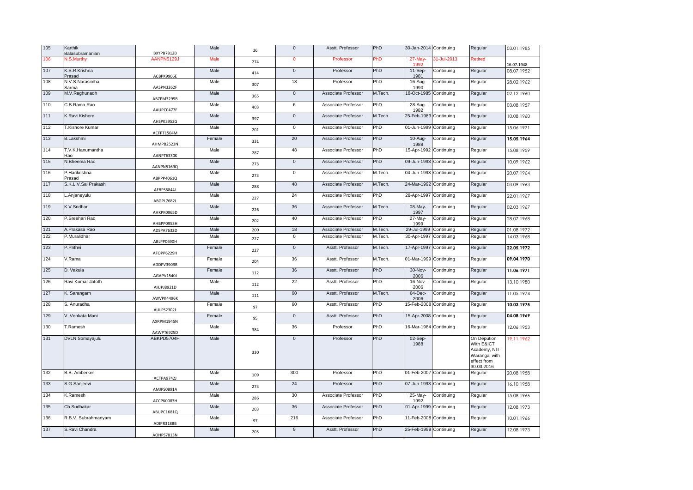| 105 | Karthik                  |            | Male   |     | $\mathbf 0$  | Asstt. Professor    | PhD     | 30-Jan-2014 Continuing |             | Regular                                                                                 | 03.01.1985 |
|-----|--------------------------|------------|--------|-----|--------------|---------------------|---------|------------------------|-------------|-----------------------------------------------------------------------------------------|------------|
|     | Balasubramanian          | BXYPB7812B |        | 26  |              |                     |         |                        |             |                                                                                         |            |
| 106 | N.S.Murthy               | AANPN5129J | Male   | 274 | $\mathbf{0}$ | Professor           | PhD     | <b>27-May-</b><br>1992 | 31-Jul-2013 | Retired                                                                                 | 16.07.1948 |
| 107 | K.S.R.Krishna<br>Prasad  | ACBPK9906E | Male   | 414 | $\mathbf 0$  | Professor           | PhD     | 11-Sep-<br>1981        | Continuing  | Regular                                                                                 | 08.07.1952 |
| 108 | N.V.S.Narasimha<br>Sarma | AASPN3262F | Male   | 307 | 18           | Professor           | PhD     | 16-Aug-<br>1990        | Continuing  | Regular                                                                                 | 28.02.1962 |
| 109 | M.V.Raghunadh            | ABZPM3299B | Male   | 365 | $\mathbf 0$  | Associate Professor | M.Tech. | 18-Oct-1985            | Continuing  | Regular                                                                                 | 02.12.1960 |
| 110 | C.B.Rama Rao             | AAUPC0477F | Male   | 403 | 6            | Associate Professor | PhD     | 28-Aug-<br>1982        | Continuing  | Regular                                                                                 | 03.08.1957 |
| 111 | K.Ravi Kishore           | AHSPK3952G | Male   | 397 | $\mathbf{0}$ | Associate Professor | M.Tech. | 25-Feb-1983            | Continuing  | Regular                                                                                 | 10.08.1960 |
| 112 | T.Kishore Kumar          | ACFPT1504M | Male   | 201 | 0            | Associate Professor | PhD     | 01-Jun-1999            | Continuing  | Regular                                                                                 | 15.06.1971 |
| 113 | <b>B.Lakshmi</b>         | AHMPB2523N | Female | 331 | 20           | Associate Professor | PhD     | 10-Aug-<br>1988        | Continuing  | Regular                                                                                 | 15.05.1964 |
| 114 | T.V.K.Hanumantha<br>Rao  | AANPT6330K | Male   | 287 | 48           | Associate Professor | PhD     | 15-Apr-1992            | Continuing  | Regular                                                                                 | 15.08.1959 |
| 115 | N.Bheema Rao             | AANPN5169Q | Male   | 273 | $\mathbf 0$  | Associate Professor | PhD     | 09-Jun-1993            | Continuing  | Regular                                                                                 | 10.09.1962 |
| 116 | P.Harikrishna<br>Prasad  | ABPPP4061Q | Male   | 273 | 0            | Associate Professor | M.Tech. | 04-Jun-1993            | Continuing  | Regular                                                                                 | 20.07.1964 |
| 117 | S.K.L.V.Sai Prakash      | AFBPS6844J | Male   | 288 | 48           | Associate Professor | M.Tech. | 24-Mar-1992            | Continuing  | Regular                                                                                 | 03.09.1963 |
| 118 | L.Anjaneyulu             | ABGPL7682L | Male   | 227 | 24           | Associate Professor | PhD     | 28-Apr-1997            | Continuing  | Regular                                                                                 | 22.01.1967 |
| 119 | K.V.Sridhar              | AHKPK0965D | Male   | 226 | 36           | Associate Professor | M.Tech. | 08-May-<br>1997        | Continuing  | Regular                                                                                 | 02.03.1967 |
| 120 | P.Sreehari Rao           | AHBPP0953H | Male   | 202 | 40           | Associate Professor | PhD     | 27-May-<br>1999        | Continuing  | Regular                                                                                 | 28.07.1968 |
| 121 | A.Prakasa Rao            | ADSPA7632D | Male   | 200 | 18           | Associate Professor | M.Tech. | 29-Jul-1999            | Continuing  | Regular                                                                                 | 01.08.1972 |
| 122 | P.Muralidhar             | ABLPP0690H | Male   | 227 | 0            | Associate Professor | M.Tech. | 30-Apr-1997            | Continuing  | Regular                                                                                 | 14.03.1968 |
| 123 | P.Prithvi                | AFOPP6229H | Female | 227 | $\mathbf 0$  | Asstt. Professor    | M.Tech. | 17-Apr-1997            | Continuing  | Regular                                                                                 | 22.05.1972 |
| 124 | V.Rama                   | ADDPV3909R | Female | 204 | 36           | Asstt. Professor    | M.Tech. | 01-Mar-1999            | Continuing  | Regular                                                                                 | 09.04.1970 |
| 125 | D. Vakula                | AGAPV1540J | Female | 112 | 36           | Asstt. Professor    | PhD     | 30-Nov-<br>2006        | Continuing  | Regular                                                                                 | 11.06.1971 |
| 126 | Ravi Kumar Jatoth        | AHJPJ8921D | Male   | 112 | 22           | Asstt. Professor    | PhD     | 16-Nov-<br>2006        | Continuing  | Regular                                                                                 | 13.10.1980 |
| 127 | K. Sarangam              | AWVPK4496K | Male   | 111 | 60           | Asstt. Professor    | M.Tech. | 04-Dec-<br>2006        | Continuing  | Regular                                                                                 | 11.05.1974 |
| 128 | S. Anuradha              | AULPS2302L | Female | 97  | 60           | Asstt. Professor    | PhD     | 15-Feb-2008            | Continuing  | Regular                                                                                 | 10.03.1975 |
| 129 | V. Venkata Mani          | AXRPM1945N | Female | 95  | $\mathbf 0$  | Asstt. Professor    | PhD     | 15-Apr-2008            | Continuing  | Regular                                                                                 | 04.08.1969 |
| 130 | T.Ramesh                 | AAWPT6925D | Male   | 384 | 36           | Professor           | PhD     | 16-Mar-1984            | Continuing  | Regular                                                                                 | 12.06.1953 |
| 131 | <b>DVLN Somayajulu</b>   | ABKPD5704H | Male   | 330 | 0            | Professor           | PhD     | 02-Sep-<br>1988        |             | On Depution<br>With E&ICT<br>Academy, NIT<br>Warangal with<br>effect from<br>30.03.2016 | 19.11.1962 |
| 132 | <b>B.B.</b> Amberker     | ACTPA9742J | Male   | 109 | 300          | Professor           | PhD     | 01-Feb-2007            | Continuing  | Regular                                                                                 | 20.08.1958 |
| 133 | S.G.Sanjeevi             | AMJPS0891A | Male   | 273 | 24           | Professor           | PhD     | 07-Jun-1993            | Continuing  | Regular                                                                                 | 16.10.1958 |
| 134 | K.Ramesh                 | ACCPK0083H | Male   | 286 | 30           | Associate Professor | PhD     | 25-May-<br>1992        | Continuing  | Regular                                                                                 | 15.08.1966 |
| 135 | Ch.Sudhakar              | ABUPC1681Q | Male   | 203 | 36           | Associate Professor | PhD     | 01-Apr-1999            | Continuing  | Regular                                                                                 | 12.08.1973 |
| 136 | R.B.V. Subrahmanyam      | ADIPR3188B | Male   | 97  | 216          | Associate Professor | PhD     | 11-Feb-2008            | Continuing  | Regular                                                                                 | 10.01.1966 |
| 137 | S.Ravi Chandra           | AOHPS7813N | Male   | 205 | 9            | Asstt. Professor    | PhD     | 25-Feb-1999 Continuing |             | Regular                                                                                 | 12.08.1973 |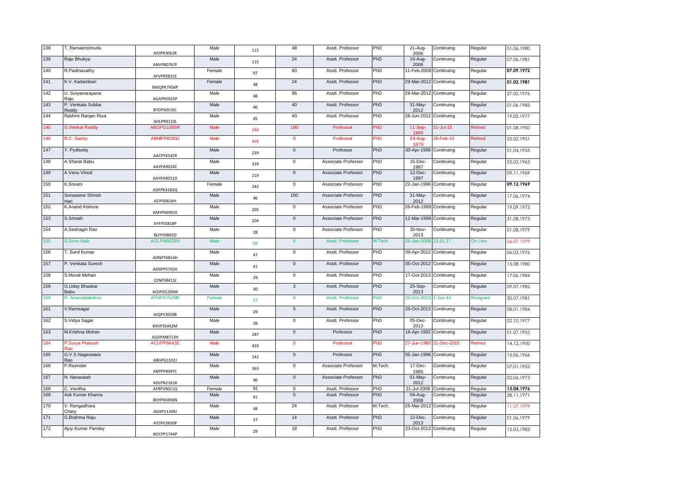| 138 | T. Ramakrishnudu          | AIOPR3062R | Male   | 115 | 48                  | Asstt. Professor        | PhD     | 21-Aug-<br>2006        | Continuing  | Regular        | 01.06.1980 |
|-----|---------------------------|------------|--------|-----|---------------------|-------------------------|---------|------------------------|-------------|----------------|------------|
| 139 | Raju Bhukya               | ANVPB0767F | Male   | 115 | 24                  | Asstt. Professor        | PhD     | 16-Aug-<br>2006        | Continuing  | Regular        | 07.06.1981 |
| 140 | R.Padmavathy              | AFVPR3831E | Female | 97  | 60                  | Asstt. Professor        | PhD     | 11-Feb-2008 Continuing |             | Regular        | 07.09.1972 |
| 141 | K.V. Kadambari            | BWQPK7456P | Female | 48  | 24                  | Asstt. Professor        | PhD     | 29-Mar-2012 Continuing |             | Regular        | 01.02.1981 |
| 142 | U. Suryanarayana<br>Raju  | AGAPR5925P | Male   | 48  | 96                  | Asstt. Professor        | PhD     | 29-Mar-2012            | Continuing  | Regular        | 27.05.1976 |
| 143 | P. Venkata Subba<br>Reddy | BTDPS0516C | Male   | 46  | 40                  | Asstt. Professor        | PhD     | 31-May-<br>2012        | Continuing  | Regular        | 01.06.1983 |
| 144 | Rashmi Ranjan Rout        | AHLPR9110L | Male   | 45  | 40                  | Asstt. Professor        | PhD     | 28-Jun-2012 Continuing |             | Regular        | 19.05.1977 |
| 145 | <b>G.Venkat Reddy</b>     | ABGPG1505R | Male   | 240 | 180                 | Professor               | PhD     | 11-Sep-<br>1980        | 31-Jul-15   | <b>Retired</b> | 01.08.1950 |
| 146 | R.C. Sastry               | ABMPR8393J | Male   | 439 | $\pmb{0}$           | Professor               | PhD     | 24-Aug-<br>1979        | 28-Feb-16   | <b>Retired</b> | 25.02.1951 |
| 147 | Y. Pydisetty              | AACPY6542R | Male   | 239 | $\mathsf{O}\xspace$ | Professor               | PhD     | 30-Apr-1996            | Continuing  | Regular        | 01.04.1955 |
| 148 | A.Sharat Babu             | AAYPA9024C | Male   | 339 | $\overline{0}$      | Associate Professor     | PhD     | $15$ -Dec-<br>1987     | Continuing  | Regular        | 25.02.1963 |
| 149 | A.Venu Vinod              | AAYPA9051D | Male   | 219 | $\mathsf{O}\xspace$ | Associate Professor     | PhD     | 12-Dec-<br>1997        | Continuing  | Regular        | 09.11.1969 |
| 150 | K.Srivani                 | ADFPK4183Q | Female | 242 | $\mathbf 0$         | Associate Professor     | PhD     | 22-Jan-1996 Continuing |             | Regular        | 09.12.1969 |
| 151 | Sonawane Shirish<br>Hari  | AZIPS0616H | Male   | 46  | 100                 | Associate Professor     | PhD     | 31-May-<br>2012        | Continuing  | Regular        | 17.06.1974 |
| 152 | K.Anand Kishore           | AMYPK6901E | Male   | 205 | 0                   | Associate Professor     | PhD     | 26-Feb-1999 Continuing |             | Regular        | 19.09.1973 |
| 153 | S.Srinath                 | AYFPS5818P | Male   | 204 | $\mathsf{O}\xspace$ | Associate Professor     | PhD     | 12-Mar-1999 Continuing |             | Regular        | 31.08.1973 |
| 154 | A.Seshagiri Rao           | BLFPS9892D | Male   | 28  | $\overline{0}$      | Associate Professor     | PhD     | 20-Nov-<br>2013        | Continuing  | Regular        | 01.08.1979 |
| 155 | <b>S.Srinu Naik</b>       | AGLPN9535N | Male   | 98  | $\mathbf{0}$        | <b>Asstt. Professor</b> | M.Tech. | 28-Jan-2008            | 13.01.17    | On Lien        | 26.07.1979 |
| 156 | T. Sunil Kumar            | ADNPT6814H | Male   | 47  | $\mathsf 0$         | Asstt. Professor        | PhD     | 09-Apr-2012            | Continuing  | Regular        | 06.03.1976 |
| 157 | P. Venkata Suresh         | AKNPP5702H | Male   | 41  | $\mathsf 0$         | Asstt. Professor        | PhD     | 05-Oct-2012 Continuing |             | Regular        | 15.08.1980 |
| 158 | S.Murali Mohan            | CENPS8413J | Male   | 29  | $\mathbf 0$         | Asstt. Professor        | PhD     | 17-Oct-2013 Continuing |             | Regular        | 17.06.1984 |
| 159 | G.Uday Bhaskar<br>Babu    | AOJPG5200M | Male   | 30  | $\overline{3}$      | Asstt. Professor        | PhD     | 25-Sep-<br>2013        | Continuing  | Regular        | 09.07.1982 |
| 160 | R. Anandalakshmi          | ATHPA7629R | Female | 17  | $\mathbf 0$         | <b>Asstt. Professor</b> | PhD     | 25-Oct-2013            | $1-Jun-14$  | Resigned       | 30.07.1981 |
| 161 | V.Ramsagar                | AIQPV3929B | Male   | 29  | $\overline{5}$      | Asstt. Professor        | PhD     | 25-Oct-2013 Continuing |             | Regular        | 08.01.1984 |
| 162 | S.Vidya Sagar             | BXVPS5442M | Male   | 28  | $\mathsf 0$         | Asstt. Professor        | PhD     | 05-Dec-<br>2013        | Continuing  | Regular        | 02.10.1977 |
| 163 | M.Krishna Mohan           | AGDPM8713H | Male   | 287 | $\mathsf{O}\xspace$ | Professor               | PhD     | 16-Apr-1992 Continuing |             | Regular        | 01.07.1953 |
| 164 | -Surya Prakash            | ACUPP6643E | Male   | 429 | $\mathbf 0$         | Professor               | PhD     | 27-Jun-1980            | 31-Dec-2015 | Retired        | 14.12.1950 |
| 165 | G.V.S.Nageswara<br>Rao    | ABGPG1502J | Male   | 242 | $\mathsf{O}\xspace$ | Professor               | PhD     | 05-Jan-1996 Continuing |             | Regular        | 15.06.1966 |
| 166 | P.Ravinder                | ABPPP4047C | Male   | 363 | $\mathsf 0$         | Associate Professor     | M.Tech. | 17-Dec-<br>1985        | Continuing  | Regular        | 07.01.1952 |
| 167 | N. Narasaiah              | ADLPN2161R | Male   | 46  | $\overline{0}$      | Associate Professor     | PhD     | $01$ -May-<br>2012     | Continuing  | Regular        | 02.06.1973 |
| 168 | C. Vanitha                | AFRPV9011Q | Female | 92  | $\mathbf 0$         | Asstt. Professor        | PhD     | 21-Jul-2008            | Continuing  | Regular        | 13.04.1976 |
| 169 | Asit Kumar Khanra         | BEHPK0490N | Male   | 91  | $\mathsf 0$         | Asstt. Professor        | PhD     | 04-Aug-<br>2008        | Continuing  | Regular        | 28.11.1971 |
| 170 | V. Rangadhara<br>Charv    | AGXPV1349J | Male   | 48  | 24                  | Asstt. Professor        | M.Tech. | 26-Mar-2012 Continuing |             | Regular        | 11.07.1979 |
| 171 | G.Brahma Raju             | AYZPG3650P | Male   | 27  | 14                  | Asstt. Professor        | PhD     | 12-Dec-<br>2013        | Continuing  | Regular        | 01.06.1979 |
| 172 | Ajoy Kumar Pandey         | BOCPP1744P | Male   | 29  | 18                  | Asstt. Professor        | PhD     | 23-Oct-2013 Continuing |             | Regular        | 15.03.1983 |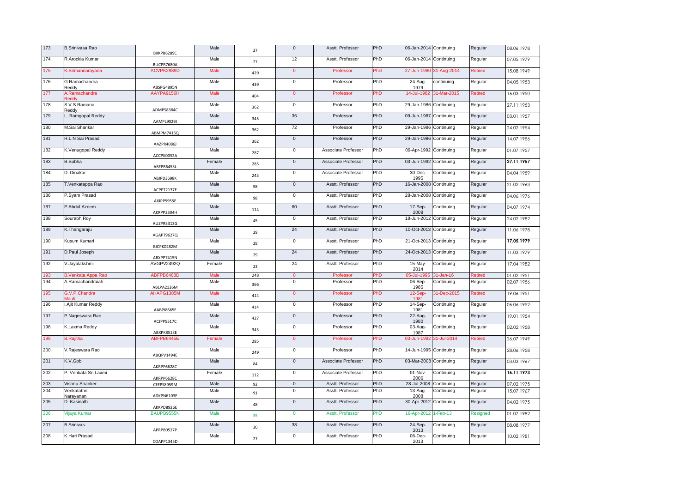| 173 | <b>B.Srinivasa Rao</b>        | BXKPB6289C | Male   | 27  | $\mathsf{O}\xspace$ | Asstt. Professor        | PhD | 06-Jan-2014 Continuing |             | Regular        | 08.06.1978 |
|-----|-------------------------------|------------|--------|-----|---------------------|-------------------------|-----|------------------------|-------------|----------------|------------|
| 174 | R.Arockia Kumar               | BUCPR7680A | Male   | 27  | 12                  | Asstt. Professor        | PhD | 06-Jan-2014            | Continuing  | Regular        | 07.05.1979 |
| 175 | K.Srimannarayana              | ACVPK2989D | Male   | 429 | $\mathbf{0}$        | Professor               | PhD | 27-Jun-1980            | 31-Aug-2014 | <b>Retired</b> | 15.08.1949 |
| 176 | G.Ramachandra<br>Reddy        | ABSPG4895N | Male   | 439 | $\mathbf 0$         | Professor               | PhD | 24-Aug-<br>1979        | continuing  | Regular        | 04.05.1953 |
| 177 | A.Ramachandra<br>uhhe!        | AAYPA9156H | Male   | 404 | $\overline{0}$      | Professor               | PhD | 14-Jul-1982            | 31-Mar-2015 | Retired        | 16.03.1950 |
| 178 | S.V.S.Ramana<br>Reddy         | ADMPS8384C | Male   | 362 | $\mathsf 0$         | Professor               | PhD | 29-Jan-1986            | Continuing  | Regular        | 27.11.1953 |
| 179 | L. Ramgopal Reddy             | AAMPL9029J | Male   | 345 | 36                  | Professor               | PhD | 09-Jun-1987            | Continuing  | Regular        | 03.01.1957 |
| 180 | M.Sai Shankar                 | ABMPM7415Q | Male   | 362 | 72                  | Professor               | PhD | 29-Jan-1986            | Continuing  | Regular        | 24.02.1954 |
| 181 | R.L.N Sai Prasad              | AAZPR4086J | Male   | 362 | $\mathbf 0$         | Professor               | PhD | 29-Jan-1986            | Continuing  | Regular        | 14.07.1956 |
| 182 | K.Venugopal Reddy             | ACCPK0052A | Male   | 287 | $\overline{0}$      | Associate Professor     | PhD | 09-Apr-1992            | Continuing  | Regular        | 01.07.1957 |
| 183 | <b>B.Sobha</b>                | ABFPB6453L | Female | 285 | $\mathsf 0$         | Associate Professor     | PhD | 03-Jun-1992            | Continuing  | Regular        | 27.11.1957 |
| 184 | D. Dinakar                    | ABJPD3698K | Male   | 243 | $\mathbf 0$         | Associate Professor     | PhD | 30-Dec-<br>1995        | Continuing  | Regular        | 04.04.1959 |
| 185 | T.Venkatappa Rao              | ACPPT2137E | Male   | 98  | $\mathsf 0$         | Asstt. Professor        | PhD | 16-Jan-2008            | Continuing  | Regular        | 21.02.1963 |
| 186 | P.Syam Prasad                 | AXIPP5955E | Male   | 98  | $\mathsf 0$         | Asstt. Professor        | PhD | 28-Jan-2008            | Continuing  | Regular        | 04.06.1976 |
| 187 | P.Abdul Azeem                 | AKRPP2304H | Male   | 114 | 60                  | Asstt. Professor        | PhD | 17-Sep-<br>2008        | Continuing  | Regular        | 04.07.1974 |
| 188 | Sourabh Roy                   | AUZPR5313G | Male   | 45  | $\mathsf 0$         | Asstt. Professor        | PhD | $18 - Jun-2012$        | Continuing  | Regular        | 24.02.1982 |
| 189 | K.Thangaraju                  | AGAPT9627Q | Male   | 29  | 24                  | Asstt. Professor        | PhD | 10-Oct-2013            | Continuing  | Regular        | 11.06.1978 |
| 190 | Kusum Kumari                  | BICPK0282M | Male   | 29  | $\mathbf 0$         | Asstt. Professor        | PhD | 21-Oct-2013            | Continuing  | Regular        | 17.05.1979 |
| 191 | D.Paul Joseph                 | ARXPP7415N | Male   | 29  | 24                  | Asstt. Professor        | PhD | 24-Oct-2013            | Continuing  | Regular        | 11.03.1979 |
| 192 | V.Jayalakshmi                 | AVGPV2492Q | Female | 23  | 24                  | Asstt. Professor        | PhD | $15$ -May-<br>2014     | Continuing  | Regular        | 17.04.1982 |
| 193 | <b>B.Venkata Appa Rao</b>     | ABFPB6468D | Male   | 248 | $\mathbf{0}$        | Professor               | PhD | 05-Jul-199             | 31-Jan-16   | <b>Retired</b> | 01.02.1951 |
| 194 | A.Ramachandraiah              | ABLPA2136M | Male   | 366 | $\mathsf 0$         | Professor               | PhD | 06-Sep-<br>1985        | Continuing  | Regular        | 02.07.1956 |
| 195 | G.V.P.Chandra<br><b>Aouli</b> | AHAPG1385M | Male   | 414 | $\mathbf{0}$        | Professor               | PhD | 12-Sep-<br>1981        | 31-Dec-2015 | Retired        | 19.06.1951 |
| 196 | I.Ajit Kumar Reddy            | AABPI8665E | Male   | 414 | $\mathsf 0$         | Professor               | PhD | 14-Sep-<br>1981        | Continuing  | Regular        | 06.06.1952 |
| 197 | P.Nageswara Rao               | ACJPP5517C | Male   | 427 | $\mathsf{O}\xspace$ | Professor               | PhD | 22-Aug-<br>1980        | Continuing  | Regular        | 19.01.1954 |
| 198 | K.Laxma Reddy                 | ABXPK8513E | Male   | 343 | $\mathbf 0$         | Professor               | PhD | 03-Aug-<br>1987        | Continuing  | Regular        | 02.02.1958 |
| 199 | <b>B.Rajitha</b>              | ABFPB6445E | Female | 285 | $\mathbf{0}$        | Professor               | PhD | 03-Jun-1992            | 31-Jul-2014 | <b>Retired</b> | 26.07.1949 |
| 200 | V.Rajeswara Rao               | ABQPV1494E | Male   | 249 | $\mathsf 0$         | Professor               | PhD | 14-Jun-1995            | Continuing  | Regular        | 28.06.1958 |
| 201 | K.V.Gobi                      | AKRPP6628C | Male   | 84  | $\mathsf 0$         | Associate Professor     | PhD | 03-Mar-2008            | Continuing  | Regular        | 03.03.1967 |
| 202 | P. Venkata Sri Laxmi          | AKRPP6628C | Female | 112 | $\mathsf 0$         | Associate Professor     | PhD | 01-Nov-<br>2006        | Continuing  | Regular        | 16.11.1973 |
| 203 | Vishnu Shanker                | CEFPS8959M | Male   | 92  | $\mathsf{O}\xspace$ | Asstt. Professor        | PhD | 28-Jul-2008            | Continuing  | Regular        | 07.02.1975 |
| 204 | Venkatathri<br>Narayanan      | ADKPN6103E | Male   | 91  | $\mathsf 0$         | Asstt. Professor        | PhD | 13-Aug-<br>2008        | Continuing  | Regular        | 15.07.1967 |
| 205 | D. Kasinath                   | AKKPD8926E | Male   | 48  | $\overline{0}$      | Asstt. Professor        | PhD | 30-Apr-2012            | Continuing  | Regular        | 04.02.1975 |
| 206 | Vijaya Kumar                  | BAUPB9555N | Male   | 35  | 0                   | <b>Asstt. Professor</b> | PhD | 16-Apr-2012            | $1-Feb-13$  | Resigned       | 01.07.1982 |
| 207 | <b>B.Srinivas</b>             | APRPB0527P | Male   | 30  | 38                  | Asstt. Professor        | PhD | 24-Sep-<br>2013        | Continuing  | Regular        | 08.08.1977 |
| 208 | K.Hari Prasad                 | COAPP1345D | Male   | 27  | $\mathbf 0$         | Asstt. Professor        | PhD | 06-Dec-<br>2013        | Continuing  | Regular        | 10.02.1981 |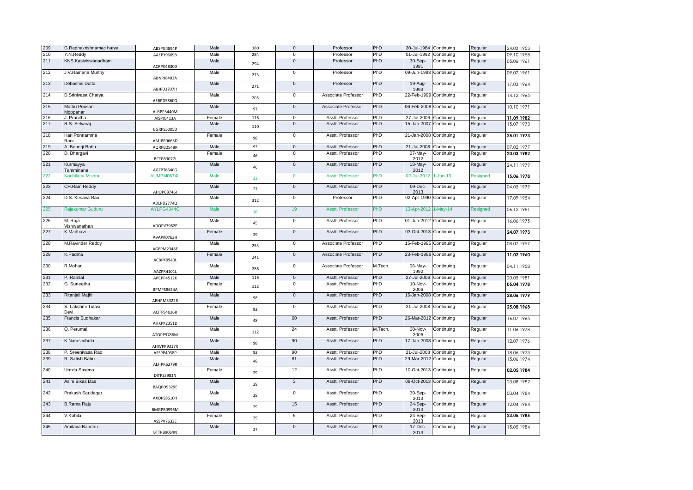| 209 | G.Radhakrishnamac harya    | ABSPG4894P        | Male        | 380 | $\mathsf 0$         | Professor               | PhD     | 30-Jul-1984            | Continuing   | Regular  | 24.03.1953 |
|-----|----------------------------|-------------------|-------------|-----|---------------------|-------------------------|---------|------------------------|--------------|----------|------------|
| 210 | Y.N.Reddy                  | AAEPY9609B        | Male        | 284 | 0                   | Professor               | PhD     | 01-Jul-1992            | Continuing   | Regular  | 09.10.1958 |
| 211 | <b>KNS Kasiviswanadham</b> | ACRPK4830D        | Male        | 294 | $\mathbf{0}$        | Professor               | PhD     | 30-Sep-<br>1991        | Continuing   | Regular  | 05.06.1961 |
| 212 | J.V.Ramana Murthy          | ABNPJ8403A        | Male        | 273 | $\mathsf 0$         | Professor               | PhD     | 09-Jun-1993            | Continuing   | Regular  | 09.07.1961 |
| 213 | Debashis Dutta             | ABJPD3707H        | Male        | 271 | $\overline{0}$      | Professor               | PhD     | 19-Aug-<br>1993        | Continuing   | Regular  | 17.03.1964 |
| 214 | D.Srinivasa Charya         | AEBPD5860Q        | Male        | 205 | $\mathbf 0$         | Associate Professor     | PhD     | 22-Feb-1999            | Continuing   | Regular  | 14.12.1965 |
| 215 | Muthu Poosan<br>Moopanar   | ALRPP3440M        | Male        | 97  | $\mathbf{0}$        | Associate Professor     | PhD     | 06-Feb-2008 Continuing |              | Regular  | 10.10.1971 |
| 216 | J. Pranitha                | AISPJ0413A        | Female      | 116 | 0                   | Asstt. Professor        | PhD     | 27-Jul-2006            | Continuing   | Regular  | 11.09.1982 |
| 217 | R.S. Selvaraj              | BGRPS5005D        | Male        | 110 | $\mathsf{O}\xspace$ | Asstt. Professor        | PhD     | 15-Jan-2007            | Continuing   | Regular  | 15.07.1973 |
| 218 | Hari Ponnamma<br>Rani      | AMJPR0665D        | Female      | 98  | $\mathsf 0$         | Asstt. Professor        | PhD     | 21-Jan-2008            | Continuing   | Regular  | 25.01.1973 |
| 219 | A. Benerji Babu            | AQRPB2548R        | Male        | 92  | $\mathsf{O}\xspace$ | Asstt. Professor        | PhD     | 21-Jul-2008            | Continuing   | Regular  | 07.02.1977 |
| 220 | D. Bhargavi                | <b>BCTPB3077J</b> | Female      | 46  | $\Omega$            | Asstt. Professor        | PhD     | 07-May-<br>2012        | Continuing   | Regular  | 20.03.1982 |
| 221 | Kurmayya<br>Tamminana      | AGZPT6640G        | Male        | 46  | $\overline{0}$      | Asstt. Professor        | PhD     | 18-May-<br>2012        | Continuing   | Regular  | 24.11.1979 |
| 222 | Nachiketa Mishra           | AUMPM0674L        | Male        | 33  | $\mathbf{0}$        | <b>Asstt. Professor</b> | PhD     | 02-Jul-2012            | $1 - Jun-13$ | Resigned | 15.06.1978 |
| 223 | CH.Ram Reddy               | AHOPC8746J        | Male        | 27  | $\mathbf{0}$        | Asstt. Professor        | PhD     | 09-Dec-<br>2013        | Continuing   | Regular  | 04.05.1979 |
| 224 | D.S. Kesava Rao            | ADLPD2774Q        | Male        | 312 | $\mathsf 0$         | Professor               | PhD     | 02-Apr-1990            | Continuing   | Regular  | 17.09.1954 |
| 225 | Rajakumar Guduru           | AYLPG4344C        | <b>Male</b> | 36  | 19                  | <b>Asstt. Professor</b> | PhD     | 13-Apr-2012            | $1-May-14$   | Resigned | 06.12.1981 |
| 226 | M. Raia<br>Vishwanathan    | ADOPV7962P        | Male        | 45  | $\mathbf 0$         | Asstt. Professor        | PhD     | 01-Jun-2012            | Continuing   | Regular  | 16.06.1975 |
| 227 | K.Madhavi                  | AVAPK0763H        | Female      | 29  | $\mathbf{0}$        | Asstt. Professor        | PhD     | 03-Oct-2013 Continuing |              | Regular  | 24.07.1973 |
| 228 | M.Ravinder Reddy           | AGEPM2348F        | Male        | 253 | $\mathbf 0$         | Associate Professor     | PhD     | 15-Feb-1995 Continuing |              | Regular  | 08.07.1957 |
| 229 | K.Padma                    | ACBPK9940L        | Female      | 241 | $\mathsf{O}\xspace$ | Associate Professor     | PhD     | 23-Feb-1996            | Continuing   | Regular  | 11.02.1960 |
| 230 | R.Mohan                    | AAZPR4101L        | Male        | 286 | $\mathsf 0$         | Associate Professor     | M.Tech. | 06-May-<br>1992        | Continuing   | Regular  | 04.11.1958 |
| 231 | P. Ramlal                  | APCPP4512K        | Male        | 116 | $\mathsf{O}\xspace$ | Asstt. Professor        | PhD     | 27-Jul-2006            | Continuing   | Regular  | 20.05.1981 |
| 232 | G. Suneetha                | BPMPS8624A        | Female      | 112 | $\overline{0}$      | Asstt. Professor        | PhD     | 10-Nov-<br>2006        | Continuing   | Regular  | 05.04.1978 |
| 233 | Ritanjali Majhi            | ARHPM3322R        | Male        | 98  | $\mathsf 0$         | Asstt. Professor        | PhD     | 16-Jan-2008            | Continuing   | Regular  | 28.06.1979 |
| 234 | S. Lakshmi Tulasi<br>Devi  | AQTPS4026R        | Female      | 92  | $\mathbf 0$         | Asstt. Professor        | PhD     | 21-Jul-2008            | Continuing   | Regular  | 25.08.1968 |
| 235 | Francis Sudhakar           | AHKPK2351D        | Male        | 48  | 60                  | Asstt. Professor        | PhD     | 26-Mar-2012            | Continuing   | Regular  | 16.07.1965 |
| 236 | O. Perumal                 | ATQPP9786M        | Male        | 112 | 24                  | Asstt. Professor        | M.Tech. | 30-Nov-<br>2006        | Continuing   | Regular  | 11.06.1978 |
| 237 | K.Narasimhulu              | AHWPK9317R        | Male        | 98  | 90                  | Asstt. Professor        | PhD     | 17-Jan-2008            | Continuing   | Regular  | 12.07.1976 |
| 238 | P. Sreenivasa Rao          | ASSPP4038P        | Male        | 92  | 90                  | Asstt. Professor        | PhD     | 21-Jul-2008            | Continuing   | Regular  | 18.06.1973 |
| 239 | R. Satish Babu             | AEHPR6279R        | Male        | 48  | 81                  | Asstt. Professor        | PhD     | 29-Mar-2012            | Continuing   | Regular  | 15.06.1974 |
| 240 | Urmila Saxena              | DITPS3981N        | Female      | 29  | 12                  | Asstt. Professor        | PhD     | 10-Oct-2013            | Continuing   | Regular  | 02.05.1984 |
| 241 | Asim Bikas Das             | BAQPD9329E        | Male        | 29  | $\mathbf{3}$        | Asstt. Professor        | PhD     | 08-Oct-2013            | Continuing   | Regular  | 23.08.1982 |
| 242 | Prakash Saudagar           | AXOPS8610H        | Male        | 29  | $\mathsf 0$         | Asstt. Professor        | PhD     | 30-Sep-<br>2013        | Continuing   | Regular  | 03.04.1984 |
| 243 | <b>B.Rama Raju</b>         | BMGPB0996M        | Male        | 29  | 15                  | Asstt. Professor        | PhD     | 24-Sep-<br>2013        | Continuing   | Regular  | 12.04.1984 |
| 244 | V.Kohila                   | ASSPV7633E        | Female      | 29  | 5                   | Asstt. Professor        | PhD     | 24-Sep-<br>2013        | Continuing   | Regular  | 23.05.1985 |
| 245 | Amitava Bandhu             | BTTPB9064N        | Male        | 27  | $\overline{0}$      | Asstt. Professor        | PhD     | 17-Dec-<br>2013        | Continuing   | Regular  | 15.05.1984 |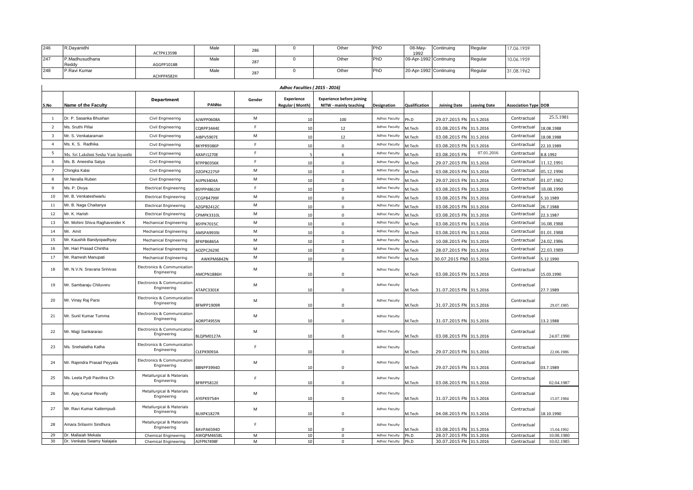| 246 | R.Dayanidhi    |            | Male | 286 | Other | PhD | 08-May-                | Continuing | Regular | 17.06.1959 |
|-----|----------------|------------|------|-----|-------|-----|------------------------|------------|---------|------------|
|     |                | ACTPK1359B |      |     |       |     | 1992                   |            |         |            |
| 247 | P.Madhusudhana |            | Male | 287 | Other | PhD | 09-Apr-1992 Continuing |            | Regular | 10.06.1959 |
|     | Reddy          | AGGPP1018B |      |     |       |     |                        |            |         |            |
| 248 | P.Ravi Kumar   |            | Male | 287 | Other | PhD | 20-Apr-1992 Continuing |            | Regular | 31.08.1962 |
|     |                | ACHPP4582H |      |     |       |     |                        |            |         |            |

|                | <b>Adhoc Faculties (2015 - 2016)</b> |                                                     |                   |             |                                      |                                                            |                      |               |                          |                     |                             |            |  |
|----------------|--------------------------------------|-----------------------------------------------------|-------------------|-------------|--------------------------------------|------------------------------------------------------------|----------------------|---------------|--------------------------|---------------------|-----------------------------|------------|--|
| S.No           | Name of the Faculty                  | Department                                          | <b>PANNo</b>      | Gender      | Experience<br><b>Regular (Month)</b> | <b>Experience before joining</b><br>NITW - mainly teaching | Designation          | Qualification | <b>Joining Date</b>      | <b>Leaving Date</b> | <b>Association Type DOB</b> |            |  |
| $\mathbf{1}$   | Dr. P. Sasanka Bhushan               | Civil Engineering                                   | AJWPP0608A        | M           | 10                                   | 100                                                        | <b>Adhoc Faculty</b> | Ph.D          | 29.07.2015 FN            | 31.5.2016           | Contractual                 | 25.5.1981  |  |
| $\overline{2}$ | Ms. Sruthi Pillai                    | Civil Engineering                                   | CQRPP3444E        | F           | 10                                   | 12                                                         | <b>Adhoc Faculty</b> | M.Tech        | 03.08.2015 FN            | 31.5.2016           | Contractual                 | 8.08.1988  |  |
| 3              | Mr. S. Venkataraman                  | Civil Engineering                                   | AIBPV5907E        | M           | 10                                   | 12                                                         | Adhoc Faculty        | M.Tech        | 03.08.2015 FN 31.5.2016  |                     | Contractual                 | 18.08.1988 |  |
| $\overline{a}$ | Ms. K. S. Radhika                    | Civil Engineering                                   | BKYPR9386P        | $\mathsf F$ | 10                                   | $\mathsf 0$                                                | Adhoc Faculty        | M.Tech        | 03.08.2015 FN            | 31.5.2016           | Contractual                 | 2.10.1989  |  |
| 5              | Ms. Sri Lakshmi Sesha Vani Jayanthi  | Civil Engineering                                   | AXAPJ1270E        | F           |                                      | 6                                                          | <b>Adhoc Faculty</b> | M.Tech        | 03.08.2015 FN            | 07.01.2016          | Contractual                 | 8.8.1992   |  |
| 6              | Ms. B. Aneesha Satya                 | Civil Engineering                                   | BTPPB0356K        | $\mathsf F$ | 10                                   | $\mathsf 0$                                                | <b>Adhoc Faculty</b> | M.Tech        | 29.07.2015 FN            | 31.5.2016           | Contractual                 | 11.12.1991 |  |
| $\overline{7}$ | Chingka Kalai                        | Civil Engineering                                   | DZOPK2275P        | M           | 10                                   | $\mathbf 0$                                                | <b>Adhoc Faculty</b> | M.Tech        | 03.08.2015 FN            | 31.5.2016           | Contractual                 | 05.12.1990 |  |
| 8              | Mr.Neralla Ruben                     | Civil Engineering                                   | AIJPN3404A        | M           | 10                                   | $\mathbf 0$                                                | <b>Adhoc Faculty</b> | M.Tech        | 29.07.2015 FN            | 31.5.2016           | Contractual                 | 01.07.1982 |  |
| 9              | Ms. P. Divya                         | <b>Electrical Engineering</b>                       | BSYPP4861M        | F           | 10                                   | $\mathsf 0$                                                | Adhoc Faculty        | M.Tech        | 03.08.2015 FN            | 31.5.2016           | Contractual                 | 18.08.1990 |  |
| 10             | Mr. B. Venkateshwarlu                | <b>Electrical Engineering</b>                       | CCGPB4799F        | M           | 10                                   | $\mathbf{0}$                                               | <b>Adhoc Faculty</b> | M.Tech        | 03.08.2015 FN 31.5.2016  |                     | Contractual                 | 10.1989    |  |
| 11             | Mr. B. Naga Chaitanya                | <b>Electrical Engineering</b>                       | AZGPB2412C        | M           | 10                                   | $\mathbf{0}$                                               | <b>Adhoc Faculty</b> | M.Tech        | 03.08.2015 FN            | 31.5.2016           | Contractual                 | 26.7.1988  |  |
| 12             | Mr. K. Harish                        | <b>Electrical Engineering</b>                       | CPMPK3310L        | M           | 10                                   | $\mathbf 0$                                                | <b>Adhoc Faculty</b> | M.Tech        | 03.08.2015 FN            | 31.5.2016           | Contractual                 | 2.3.1987   |  |
| 13             | Mr. Mohini Shiva Raghavender K       | <b>Mechanical Engineering</b>                       | BSYPK7015C        | M           | 10                                   | $\mathsf 0$                                                | <b>Adhoc Faculty</b> | M.Tech        | 03.08.2015 FN            | 31.5.2016           | Contractual                 | 16.08.1988 |  |
| 14             | Mr. Amit                             | <b>Mechanical Engineering</b>                       | AMSPA9939J        | M           | 10                                   | $\mathbf 0$                                                | Adhoc Faculty        | M.Tech        | 03.08.2015 FN            | 31.5.2016           | Contractual                 | 01.01.1988 |  |
| 15             | Mr. Kaushik Bandyopadhyay            | <b>Mechanical Engineering</b>                       | BFKPB6865A        | M           | 10                                   | $\mathbf{0}$                                               | Adhoc Faculty        | M.Tech        | 10.08.2015 FN 31.5.2016  |                     | Contractual                 | 24.02.1986 |  |
| 16             | Mr. Hari Prasad Chintha              | <b>Mechanical Engineering</b>                       | AOZPC2629E        | M           | 10                                   | $\mathsf 0$                                                | <b>Adhoc Faculty</b> | M.Tech        | 28.07.2015 FN            | 31.5.2016           | Contractual                 | 22.03.1989 |  |
| 17             | Mr. Ramesh Manupati                  | <b>Mechanical Engineering</b>                       | AWKPM6842N        | M           | 10                                   | $\mathsf 0$                                                | Adhoc Faculty        | M.Tech        | 30.07.2015 FN0 31.5.2016 |                     | Contractual                 | .12.1990   |  |
| 18             | Mr. N.V.N. Sravana Srinivas          | Electronics & Communication<br>Engineering          | AMCPN1886H        | M           | 10                                   | $\mathsf 0$                                                | Adhoc Faculty        | M.Tech        | 03.08.2015 FN 31.5.2016  |                     | Contractual                 | 15.03.1990 |  |
| 19             | Mr. Sambaraju Chiluveru              | Electronics & Communication<br>Engineering          | ATAPC3301K        | M           | 10                                   | $\mathbf 0$                                                | <b>Adhoc Faculty</b> | M.Tech        | 31.07.2015 FN 31.5.2016  |                     | Contractual                 | 27.7.1989  |  |
| 20             | Mr. Vinay Raj Parsi                  | Electronics & Communication<br>Engineering          | BFMPP1909R        | M           | 10                                   | $\mathbf 0$                                                | Adhoc Faculty        | M.Tech        | 31.07.2015 FN 31.5.2016  |                     | Contractual                 | 29.07.1985 |  |
| 21             | Mr. Sunil Kumar Tumma                | Electronics & Communication<br>Engineering          | AORPT4955N        | M           | 10                                   | $\mathbf 0$                                                | Adhoc Faculty        | M.Tech        | 31.07.2015 FN 31.5.2016  |                     | Contractual                 | 13.2.1988  |  |
| 22             | Mr. Majji Sankararao                 | Electronics & Communication<br>Engineering          | BLQPM0127A        | M           | 10                                   | $\mathbf 0$                                                | <b>Adhoc Faculty</b> | M.Tech        | 03.08.2015 FN 31.5.2016  |                     | Contractual                 | 24.07.1990 |  |
| 23             | Ms. Snehalatha Katha                 | Electronics & Communication<br>Engineering          | CLEPK9093A        | F           | 10                                   | $\mathbf 0$                                                | <b>Adhoc Faculty</b> | M.Tech        | 29.07.2015 FN 31.5.2016  |                     | Contractual                 | 22.06.1986 |  |
| 24             | Mr. Rajendra Prasad Peyyala          | Electronics & Communication<br>Engineering          | <b>BBNPP3994D</b> | M           | 10                                   | $\mathbf 0$                                                | <b>Adhoc Faculty</b> | M.Tech        | 29.07.2015 FN 31.5.2016  |                     | Contractual                 | 03.7.1989  |  |
| 25             | Ms. Leela Pydi Pavithra Ch           | Metallurgical & Materials<br>Engineering            | BFRPP5812E        | F           | 10                                   | $\mathbf 0$                                                | Adhoc Faculty        | M.Tech        | 03.08.2015 FN 31.5.2016  |                     | Contractual                 | 02.04.1987 |  |
| 26             | Mr. Ajay Kumar Revelly               | <b>Metallurgical &amp; Materials</b><br>Engineering | AYEPK9754H        | M           | 10                                   | $\mathbf 0$                                                | Adhoc Faculty        | M.Tech        | 31.07.2015 FN 31.5.2016  |                     | Contractual                 | 15.07.1984 |  |
| 27             | Mr. Ravi Kumar Kattempudi            | <b>Metallurgical &amp; Materials</b><br>Engineering | BUXPK1827R        | M           | 10                                   | $\mathsf 0$                                                | Adhoc Faculty        | M.Tech        | 04.08.2015 FN 31.5.2016  |                     | Contractual                 | 18.10.1990 |  |
| 28             | Amara Srilaxmi Sindhura              | <b>Metallurgical &amp; Materials</b><br>Engineering | BAVPA6594D        | $\mathsf F$ | 10                                   | $\mathbf{0}$                                               | Adhoc Faculty        | M.Tech        | 03.08.2015 FN 31.5.2016  |                     | Contractual                 | 15.04.1992 |  |
| 29             | Dr. Mallaiah Mekala                  | <b>Chemical Engineering</b>                         | AWQPM4658L        | M           | 10                                   | $\mathbf 0$                                                | Adhoc Faculty        | Ph.D          | 28.07.2015 FN 31.5.2016  |                     | Contractual                 | 10.08.1980 |  |
| 30             | Dr. Venkata Swamy Nalajala           | <b>Chemical Engineering</b>                         | AJFPN7498F        | M           | 10                                   | $\mathsf 0$                                                | Adhoc Faculty        | Ph.D          | 30.07.2015 FN 31.5.2016  |                     | Contractual                 | 10.02.1985 |  |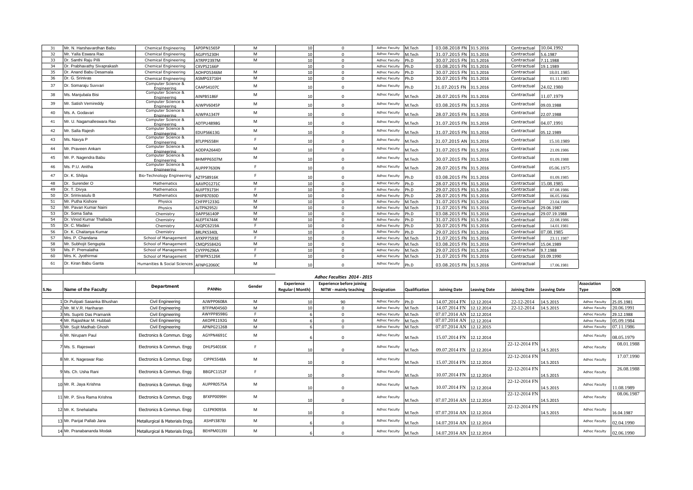| 31   |                             |                                   |                   |                                                                                                            |                        |                                  |                      |               |                          |                     |                     |               |                      |            |
|------|-----------------------------|-----------------------------------|-------------------|------------------------------------------------------------------------------------------------------------|------------------------|----------------------------------|----------------------|---------------|--------------------------|---------------------|---------------------|---------------|----------------------|------------|
|      | Mr. N. Harshavardhan Babu   | Chemical Engineering              | APDPN1565P        | M                                                                                                          | 10                     | $\mathbf 0$                      | Adhoc Faculty        | M.Tech        | 03.08.2018 FN 31.5.2016  |                     | Contractual         | 10.04.1992    |                      |            |
| 32   | Mr. Yalla Eswara Rao        | Chemical Engineering              | AGJPY5230H        | M                                                                                                          | 10                     | $\mathbf{0}$                     | Adhoc Faculty        | M.Tech        | 31.07.2015 FN 31.5.2016  |                     | Contractual         | 5.6.1987      |                      |            |
| 33   | Dr. Santhi Raju Pilli       | Chemical Engineering              | ATRPP2397M        | M                                                                                                          | 10                     | $\mathbf 0$                      | Adhoc Faculty        | h.D           | 30.07.2015 FN            | 31.5.2016           | Contractual         | .11.1988      |                      |            |
| 34   | Dr. Prabhavathy Sivaprakash | <b>Chemical Engineering</b>       | CXVPS2166P        |                                                                                                            | 10                     | $\mathbf 0$                      | Adhoc Faculty        | h.D           | 03.08.2015 FN 31.5.2016  |                     | Contractual         | 19.1.1989     |                      |            |
| 35   | Dr. Anand Babu Desamala     | <b>Chemical Engineering</b>       | AOHPD5346M        | M                                                                                                          | 10                     | $\mathbf 0$                      | Adhoc Faculty        | h.D           | 30.07.2015 FN 31.5.2016  |                     | Contractual         | 18.01.1985    |                      |            |
| 36   | Dr. G. Srinivas             | <b>Chemical Engineering</b>       | ASMPG3716H        | M                                                                                                          | 10                     | $\mathsf 0$                      | <b>Adhoc Faculty</b> | h.D           | 30.07.2015 FN            | 31.5.2016           | Contractual         | 01.11.1983    |                      |            |
|      |                             | Computer Science &                |                   |                                                                                                            |                        |                                  |                      |               |                          |                     |                     |               |                      |            |
| 37   | Dr. Somaraju Suvvari        | Fnaineering                       | CAAPS4107C        | M                                                                                                          | 10                     | $\mathsf 0$                      | Adhoc Faculty        | h.D           | 31.07.2015 FN            | 31.5.2016           | Contractual         | 24.02.1980    |                      |            |
| 38   | Ms. Manjubala Bisi          | Computer Science &                | <b>INPB5186F</b>  | $\mathsf{M}% _{T}=\mathsf{M}_{T}\!\left( a,b\right) ,\ \mathsf{M}_{T}=\mathsf{M}_{T}\!\left( a,b\right) ,$ | 10                     | $\mathsf 0$                      | Adhoc Faculty        | 1.Tech        | 28.07.2015 FN            | 31.5.2016           | Contractual         | 1.07.1979     |                      |            |
|      |                             | Engineering<br>Computer Science & |                   |                                                                                                            |                        |                                  |                      |               |                          |                     |                     |               |                      |            |
| 39   | Mr. Satish Vemireddy        | Engineering                       | UWPV6045P         | M                                                                                                          | 10                     | $\mathsf 0$                      | Adhoc Faculty        | 1.Tech        | 03.08.2015 FN 31.5.2016  |                     | Contractual         | 9.03.1988     |                      |            |
| 40   | Ms. A. Godavari             | Computer Science &                |                   | M                                                                                                          |                        |                                  | Adhoc Faculty        |               |                          |                     | Contractual         |               |                      |            |
|      |                             | <b>Fnaineering</b>                | AJWPA1347F        |                                                                                                            | 10                     | $\,0\,$                          |                      | A.Tech        | 28.07.2015 FN 31.5.2016  |                     |                     | 2.07.1988     |                      |            |
| 41   | Mr. U. Nagamalleswara Rao   | Computer Science &<br>Engineering | ADTPU4898G        | M                                                                                                          | 10                     | $\mathbf{0}$                     | Adhoc Faculty        | 1.Tech        | 31.07.2015 FN 31.5.2016  |                     | Contractual         | 4.07.1991     |                      |            |
|      |                             | Computer Science &                |                   |                                                                                                            |                        |                                  |                      |               |                          |                     |                     |               |                      |            |
| 42   | Mr. Salla Rajesh            | Fnaineerina                       | EDUPS6613G        | M                                                                                                          | 10                     | $\mathbf{0}$                     | Adhoc Faculty        | 1.Tech        | 31.07.2015 FN 31.5.2016  |                     | Contractual         | 5.12.1989     |                      |            |
| 43   | Ms. Navya P                 | Computer Science &                | TLPP6558H         | F.                                                                                                         | 10                     | $\mathsf 0$                      | Adhoc Faculty        | 1.Tech        | 31.07.2015 AN            | 31.5.2016           | Contractual         | 15.10.1989    |                      |            |
|      |                             | Computer Science &                |                   |                                                                                                            |                        |                                  |                      |               |                          |                     |                     |               |                      |            |
| 44   | Mr. Praveen Ankam           | Engineering                       | AODPA2644D        | M                                                                                                          | 10                     | $\,0\,$                          | Adhoc Faculty        | A.Tech        | 31.07.2015 FN            | 31.5.2016           | Contractual         | 21.09.1986    |                      |            |
| 45   | Mr. P. Nagendra Babu        | Computer Science &                |                   | M                                                                                                          |                        |                                  | Adhoc Faculty        |               |                          |                     | Contractual         |               |                      |            |
|      |                             | Engineering                       | 3HMPP6507M        |                                                                                                            | 10                     | $\mathsf 0$                      |                      | A.Tech        | 30.07.2015 FN 31.5.2016  |                     |                     | 01.09.1988    |                      |            |
| 46   | Ms. P.U. Anitha             | Computer Science &<br>Fnaineering | AUPPP7630N        | F.                                                                                                         | 10                     | $\,0\,$                          | Adhoc Faculty        | 1.Tech        | 28.07.2015 FN            | 31.5.2016           | Contractual         | 05.06.1975    |                      |            |
| 47   | Dr. K. Shilpa               |                                   |                   | F                                                                                                          |                        |                                  | Adhoc Faculty        |               |                          |                     | Contractual         |               |                      |            |
|      |                             | Bio-Technology Engineering        | AZTPS8916K        |                                                                                                            | 10                     | $\mathsf 0$                      |                      | h.D           | 03.08.2015 FN            | 31.5.2016           |                     | 01.09.1985    |                      |            |
| 48   | Dr. Surender O              | Mathematics                       | AAVPO1271C        | M                                                                                                          | 10                     | $\mathsf 0$                      | Adhoc Faculty        | h.D           | 28.07.2015 FN            | 31.5.2016           | Contractual         | 5.08.1985     |                      |            |
| 49   | Dr. T. Divya                | Mathematics                       | AUIPT9173H        | F                                                                                                          | 10                     | $\mathbf{0}$                     | Adhoc Faculty        | h.D           | 29.07.2015 FN            | 31.5.2016           | Contractual         | 07.08.1986    |                      |            |
| 50   | Dr. Srinivasulu B           | Mathematics                       | BHIPB7030D        | M                                                                                                          | 10                     | $\mathsf 0$                      | <b>Adhoc Faculty</b> | h.D           | 28.07.2015 FN 31.5.2016  |                     | Contractual         | 06.05.1984    |                      |            |
| 51   | Mr. Putha Kishore           | Physics                           | CHFPP1233G        | $\mathsf{M}% _{T}=\mathsf{M}_{T}\!\left( a,b\right) ,\ \mathsf{M}_{T}=\mathsf{M}_{T}\!\left( a,b\right) ,$ | 10                     | $\mathbf 0$                      | Adhoc Faculty        | A.Tech        | 31.07.2015 FN            | 31.5.2016           | Contractual         | 23.04.1986    |                      |            |
| 52   | Mr. Pavan Kumar Naini       | Physics                           | AJTPN2952J        | M                                                                                                          | 10                     | $\mathbf 0$                      | <b>Adhoc Faculty</b> | 1.Tech        | 31.07.2015 FN            | 31.5.2016           | Contractual         | 29.06.1987    |                      |            |
| 53   | Dr. Soma Saha               | Chemistry                         | DAPPS6140P        | M                                                                                                          | 10                     | $\mathsf 0$                      | Adhoc Faculty        | h.D           | 03.08.2015 FN            | 31.5.2016           | Contractual         | 29.07.19.1988 |                      |            |
| 54   | Dr. Vinod Kumar Thallada    | Chemistry                         | ALEPT4744K        | M                                                                                                          | 10                     | $\mathsf 0$                      | <b>Adhoc Faculty</b> | h.D           | 31.07.2015 FN 31.5.2016  |                     | Contractual         | 22.08.1986    |                      |            |
| 55   | Dr. C. Madavi               | Chemistry                         | AJOPC6219A        | F.                                                                                                         | 10                     | $\mathbf{0}$                     | <b>Adhoc Faculty</b> | h.D           | 30.07.2015 FN            | 31.5.2016           | Contractual         | 14.01.1981    |                      |            |
|      |                             |                                   |                   |                                                                                                            |                        |                                  |                      |               |                          |                     |                     |               |                      |            |
| 56   | Dr. K. Chaitanya Kumar      | Chemistry                         | BRLPK5340L        | M                                                                                                          | 10                     | $\mathsf 0$                      | Adhoc Faculty        | h.D           | 29.07.2015 FN            | 31.5.2016           | Contractual         | 07.08.1985    |                      |            |
| 57   | Mrs. P. Chandana            | School of Management              | AYXPP7593E        | F.                                                                                                         | 10                     | $\,0\,$                          | Adhoc Faculty        | A.Tech        | 31.07.2015 FN 31.5.2016  |                     | Contractual         | 23.11.1987    |                      |            |
| 58   | Mr. Subhojit Sengupta       | School of Management              | <b>CMQPS5842G</b> | M                                                                                                          | 10                     | $\mathbf{0}$                     | Adhoc Faculty        | 1.Tech        | 03.08.2015 FN            | 31.5.2016           | Contractual         | 15.04.1989    |                      |            |
|      |                             |                                   |                   |                                                                                                            |                        |                                  |                      |               |                          |                     |                     |               |                      |            |
| 59   | Ms. P. Premalatha           | School of Management              | CVYPP6296A        | F.                                                                                                         | 10                     | $\mathbf{0}$                     | Adhoc Faculty        | 1.Tech        | 29.07.2015 FN            | 31.5.2016           | Contractual         | .7.1988       |                      |            |
| 60   | Mrs. K. Jyothirmai          | School of Management              | BTWPK5126K        | $\mathsf F$                                                                                                | 10                     | $\mathsf 0$                      | Adhoc Faculty        | A.Tech        | 31.07.2015 FN 31.5.2016  |                     | Contractual         | 03.09.1990    |                      |            |
| 61   | Dr. Kiran Babu Ganta        | Iumanities & Social Sciences      |                   | M                                                                                                          |                        |                                  | <b>Adhoc Faculty</b> |               |                          |                     | Contractual         |               |                      |            |
|      |                             |                                   | AFNPG2060C        |                                                                                                            | 10                     | $\Omega$                         |                      | h.D           | 03.08.2015 FN            | 31.5.2016           |                     | 17.06.1981    |                      |            |
|      |                             |                                   |                   |                                                                                                            |                        |                                  |                      |               |                          |                     |                     |               |                      |            |
|      |                             |                                   |                   |                                                                                                            |                        | Adhoc Faculties 2014 - 2015      |                      |               |                          |                     |                     |               |                      |            |
|      |                             | <b>Department</b>                 |                   | Gender                                                                                                     | <b>Experience</b>      | <b>Experience before joining</b> |                      |               |                          |                     |                     |               | <b>Association</b>   |            |
| S.No | Name of the Faculty         |                                   | <b>PANNo</b>      |                                                                                                            | <b>Regular (Month)</b> | NITW - mainly teaching           | Designation          | Qualification | <b>Joining Date</b>      | <b>Leaving Date</b> | <b>Joining Date</b> | Leaving Date  | <b>Type</b>          | DOB        |
|      |                             |                                   |                   |                                                                                                            |                        |                                  |                      |               |                          |                     |                     |               |                      |            |
|      | Dr.Pulipati Sasanka Bhushan | Civil Engineering                 | AJWPP0608A        | M                                                                                                          | 10                     | 90                               | Adhoc Faculty        | h.D           | 14.07.2014 FN            | 12.12.2014          | 22-12-2014          | 14.5.2015     | Adhoc Faculty        | 25.05.1981 |
|      | 2 Mr. M.V.R. Hariharan      | Civil Engineering                 | BTFPM0456D        | M                                                                                                          | 10                     | $\mathbf{0}$                     | Adhoc Faculty        | 1.Tech        | 14.07.2014 FN            | 12.12.2014          | 22-12-2014          | 14.5.2015     | Adhoc Faculty        | 20.06.1991 |
|      | 3 Ms. Supriti Das Pramanik  | Civil Engineering                 | AWYPP8598G        | $\mathsf F$                                                                                                | 6                      | $\,0\,$                          | <b>Adhoc Faculty</b> | A.Tech        | 07.07.2014 AN 12.12.2014 |                     |                     |               | Adhoc Faculty        | 29.12.1988 |
|      | 4 Mr. Raiashkar M. Hubbali  | Civil Engineering                 | AKOPR1192G        | M                                                                                                          | 6                      | $\mathsf 0$                      | Adhoc Faculty        | A.Tech        | 07.07.2014 AN            | 12.12.2014          |                     |               | <b>Adhoc Faculty</b> | 05.09.1984 |
|      |                             |                                   |                   |                                                                                                            | 6                      |                                  |                      |               |                          |                     |                     |               |                      |            |
|      | 5 Mr. Sujit Madhab Ghosh    | Civil Engineering                 | APNPG2126B        | M                                                                                                          |                        | $\mathbf{0}$                     | <b>Adhoc Faculty</b> | A.Tech        | 07.07.2014 AN            | 12.12.2015          |                     |               | <b>Adhoc Faculty</b> | 07.11.1986 |
|      | 6 Mr. Nirupam Paul          | Electronics & Commun. Engg        | AGYPN4691C        | M                                                                                                          |                        | $\mathbf{0}$                     | Adhoc Faculty        | 1.Tech        | 15.07.2014 FN            | 12.12.2014          |                     |               | Adhoc Faculty        | 8.05.1979  |
|      |                             |                                   |                   |                                                                                                            |                        |                                  |                      |               |                          |                     | 22-12-2014 FN       |               |                      |            |
|      | 7 Ms. S. Rajeswari          | Electronics & Commun. Engg        | DHLPS4016K        | $\mathsf F$                                                                                                |                        |                                  | <b>Adhoc Faculty</b> |               |                          |                     |                     |               | <b>Adhoc Faculty</b> | 08.01.1988 |
|      |                             |                                   |                   |                                                                                                            | 10                     | $\mathbf{0}$                     |                      | A.Tech        | 09.07.2014 FN 12.12.2014 |                     |                     | 14.5.2015     |                      |            |
|      | 8 Mr. K. Nageswar Rao       | Electronics & Commun. Engg        | CIPPK5548A        | M                                                                                                          |                        |                                  | Adhoc Faculty        |               |                          |                     | 22-12-2014 FN       |               | Adhoc Faculty        | 17.07.1990 |
|      |                             |                                   |                   |                                                                                                            | 10                     | $\mathbf 0$                      |                      | A.Tech        | 15.07.2014 FN 12.12.2014 |                     |                     | 4.5.2015      |                      |            |
|      |                             |                                   | BBGPC1152F        | F.                                                                                                         |                        |                                  |                      |               |                          |                     | 22-12-2014 FN       |               | <b>Adhoc Faculty</b> | 26.08.1988 |
|      | 9 Ms. Ch. Usha Rani         | Electronics & Commun. Engg        |                   |                                                                                                            | 10                     | $\mathsf 0$                      | Adhoc Faculty        | M.Tech        | 10.07.2014 FN 12.12.2014 |                     |                     | 14.5.2015     |                      |            |
|      |                             |                                   |                   |                                                                                                            |                        |                                  |                      |               |                          |                     | 22-12-2014 FN       |               |                      |            |
|      | 10 Mr. R. Jaya Krishna      | Electronics & Commun. Engg        | AUPPR0575A        | M                                                                                                          | 10                     | $\mathsf 0$                      | Adhoc Faculty        | A.Tech        | 10.07.2014 FN 12.12.2014 |                     |                     | 14.5.2015     | Adhoc Faculty        | 1.08.1989  |
|      |                             |                                   |                   |                                                                                                            |                        |                                  |                      |               |                          |                     |                     |               |                      |            |
|      | 11 Mr. P. Siva Rama Krishna | Electronics & Commun. Engg        | BFXPP0099H        | М                                                                                                          |                        |                                  | Adhoc Faculty        |               |                          |                     | 22-12-2014 FN       |               | <b>Adhoc Faculty</b> | 08.06.1987 |
|      |                             |                                   |                   |                                                                                                            | 10                     | $\mathsf 0$                      |                      | M.Tech        | 07.07.2014 AN 12.12.2014 |                     |                     | 4.5.2015      |                      |            |
|      | 12 Mr. K. Snehalatha        | Electronics & Commun. Engg        | CLEPK9093A        | M                                                                                                          |                        |                                  | Adhoc Faculty        |               |                          |                     | 22-12-2014 FN       |               | Adhoc Faculty        |            |
|      |                             |                                   |                   |                                                                                                            | 10                     | $\mathsf 0$                      |                      | A.Tech        | 07.07.2014 AN 12.12.2014 |                     |                     | 14.5.2015     |                      | 16.04.1987 |
|      | 13 Mr. Parijat Pallab Jana  | Metallurgical & Materials Engg    | ASHPJ3878J        | M                                                                                                          |                        |                                  | Adhoc Faculty        |               |                          |                     |                     |               | <b>Adhoc Faculty</b> | 2.04.1990  |
|      |                             |                                   |                   |                                                                                                            |                        | $\mathsf 0$                      |                      | 1.Tech        | 14.07.2014 AN 12.12.2014 |                     |                     |               |                      |            |
|      | 14 Mr. Pranabananda Modak   | Metallurgical & Materials Engg    | BEHPM0139J        | M                                                                                                          |                        | $\mathsf 0$                      | Adhoc Faculty        | M.Tech        | 14.07.2014 AN 12.12.2014 |                     |                     |               | Adhoc Faculty        | 02.06.1990 |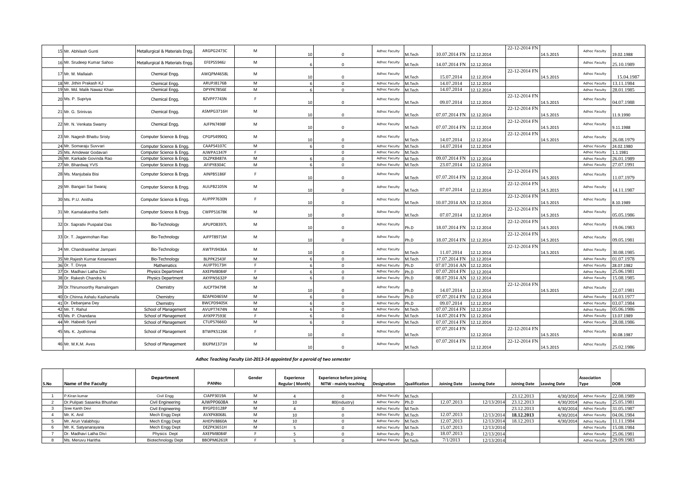| 15 Mr. Abhilash Gunti          | Metallurgical & Materials Engg  | ARGPG2473C | M | 10             | $\Omega$     | <b>Adhoc Faculty</b> | M.Tech | 10.07.2014 FN 12.12.2014 |            | 22-12-2014 FN | 14.5.2015 | Adhoc Faculty        | 19.02.1988 |
|--------------------------------|---------------------------------|------------|---|----------------|--------------|----------------------|--------|--------------------------|------------|---------------|-----------|----------------------|------------|
| 16 Mr. Srudeep Kumar Sahoo     | Metallurgical & Materials Engg. | EFEPS5946J | M |                | $\mathbf{0}$ | <b>Adhoc Faculty</b> | M.Tech | 14.07.2014 FN 12.12.2014 |            |               |           | Adhoc Faculty        | 25.10.1989 |
| 17 Mr. M. Mallaiah             | Chemical Engg.                  | AWQPM4658L | M | 10             | $\Omega$     | <b>Adhoc Faculty</b> | M.Tech | 15.07.2014               | 12.12.2014 | 22-12-2014 FN | 14.5.2015 | Adhoc Faculty        | 15.04.1987 |
| 18 Mr. Jithin Prakash KJ       | Chemical Engg.                  | ARUPJ8176B | M |                | $\mathbf{0}$ | <b>Adhoc Faculty</b> | M.Tech | 14.07.2014               | 12.12.2014 |               |           | Adhoc Faculty        | 13.11.1984 |
| 19 Mr. Md. Malik Nawaz Khan    | Chemical Engg.                  | DPYPK7856E | M |                | $\mathbf{0}$ | <b>Adhoc Faculty</b> | M.Tech | 14.07.2014               | 12.12.2014 |               |           | Adhoc Faculty        | 28.01.1985 |
| 20 Ms. P. Supriya              | Chemical Engg.                  | BZVPP7743N | F | 1 <sup>c</sup> | $\mathbf{0}$ | <b>Adhoc Faculty</b> | M.Tech | 09.07.2014               | 12.12.2014 | 22-12-2014 FN | 14.5.2015 | Adhoc Faculty        | 04.07.1988 |
| 21 Mr. G. Srinivas             | Chemical Engg.                  | ASMPG3716H | M | 10             | $\mathbf{0}$ | <b>Adhoc Faculty</b> | M.Tech | 07.07.2014 FN 12.12.2014 |            | 22-12-2014 FN | 14.5.2015 | Adhoc Faculty        | 11.9.1990  |
| 22 Mr. N. Venkata Swamy        | Chemical Engg.                  | AJFPN7498F | M | 10             | $\mathbf{0}$ | <b>Adhoc Faculty</b> | M.Tech | 07.07.2014 FN 12.12.2014 |            | 22-12-2014 FN | 14.5.2015 | Adhoc Faculty        | 0.11.1988  |
| 23 Mr. Nagesh Bhattu Sristy    | Computer Science & Engg.        | CPGPS4990Q | M | 10             | $\mathbf{0}$ | <b>Adhoc Faculty</b> | M.Tech | 14.07.2014               | 12.12.2014 | 22-12-2014 FN | 14.5.2015 | Adhoc Faculty        | 26.08.1979 |
| 24 Mr. Somaraju Suvvari        | Computer Science & Engg.        | CAAPS4107C | M |                | $\mathbf{0}$ | <b>Adhoc Faculty</b> | M.Tech | 14.07.2014               | 12.12.2014 |               |           | Adhoc Faculty        | 24.02.1980 |
| 25 Ms. Amdewar Godavari        | Computer Science & Engg.        | AJWPA1347F | F |                | $\mathbf{0}$ | <b>Adhoc Faculty</b> | M.Tech |                          |            |               |           | Adhoc Faculty        | 1.1.1981   |
| 26 Mr. Karkade Govinda Rao     | Computer Science & Engg.        | DLZPK8487A | M |                | $\mathbf{0}$ | <b>Adhoc Faculty</b> | A.Tech | 09.07.2014 FN            | 12.12.2014 |               |           | <b>Adhoc Faculty</b> | 26.01.1989 |
| 27 Mr. Bhardwaj YVS            | Computer Science & Engg.        | AFIPY8304C | M |                | $\mathbf{0}$ | <b>Adhoc Faculty</b> | M.Tech | 23.07.2014               | 12.12.2014 |               |           | <b>Adhoc Faculty</b> | 27.07.1991 |
| 28 Ms. Manjubala Bisi          | Computer Science & Engg.        | AINPB5186F | E | 10             | $\mathbf{0}$ | Adhoc Faculty        | M.Tech | 07.07.2014 FN 12.12.2014 |            | 22-12-2014 FN | 14.5.2015 | Adhoc Faculty        | 11.07.1979 |
| 29 Mr. Bangari Sai Swaraj      | Computer Science & Engg.        | AULPB2105N | M | 10             | $\mathbf{0}$ | <b>Adhoc Faculty</b> | M.Tech | 07.07.2014               | 12.12.2014 | 22-12-2014 FN | 14.5.2015 | Adhoc Faculty        | 14.11.1987 |
| 30 Ms. P.U. Anitha             | Computer Science & Engg.        | AUPPP7630N | F | 10             | $\mathbf 0$  | <b>Adhoc Faculty</b> | M.Tech | 10.07.2014 AN 12.12.2014 |            | 22-12-2014 FN | 14.5.2015 | Adhoc Faculty        | .10.1989   |
| 31 Mr. Kamalakantha Sethi      | Computer Science & Engg.        | CWPPS1678K | M | 10             | $\mathbf{0}$ | <b>Adhoc Faculty</b> | M.Tech | 07.07.2014               | 12.12.2014 | 22-12-2014 FN | 14.5.2015 | Adhoc Faculty        | 05.05.1986 |
| 32 Dr. Saprativ Puspalal Das   | Bio-Technology                  | APUPD8397L | M | 10             | $\mathbf{0}$ | <b>Adhoc Faculty</b> | Ph.D   | 18.07.2014 FN 12.12.2014 |            | 22-12-2014 FN | 14.5.2015 | Adhoc Faculty        | 19.06.1983 |
| 33 Dr. T. Jaganmohan Rao       | Bio-Technology                  | AJFPT8971M | M | 10             | $\Omega$     | <b>Adhoc Faculty</b> | Ph.D   | 18.07.2014 FN 12.12.2014 |            | 22-12-2014 FN | 14.5.2015 | Adhoc Faculty        | 09.05.1981 |
| 34 Mr. Chandrasekhar Jampani   | Bio-Technology                  | AWTPJ9436A | M | 10             | $\Omega$     | <b>Adhoc Faculty</b> | M.Tech | 11.07.2014               | 12.12.2014 | 22-12-2014 FN | 14.5.2015 | Adhoc Faculty        | 30.08.1985 |
| 35 Mr.Rajesh Kumar Kesarwani   | Bio-Technology                  | BLPPK2543F | M |                | $\mathbf{0}$ | Adhoc Faculty        | M.Tech | 17.07.2014 FN 12.12.2014 |            |               |           | Adhoc Faculty        | 01.07.1978 |
| 36 Dr. T. Divva                | Mathematics                     | AUIPT9173H | F |                | $\Omega$     | <b>Adhoc Faculty</b> | h.D    | 07.07.2014 AN 12.12.2014 |            |               |           | Adhoc Faculty        | 28.07.1982 |
| 37 Dr. Madhavi Latha Divi      | <b>Physics Department</b>       | AXEPM8084F | F |                | $\Omega$     | <b>Adhoc Faculty</b> | Ph.D   | 07.07.2014 FN 12.12.2014 |            |               |           | Adhoc Faculty        | 25.06.1981 |
| 38 Dr. Rakesh Chandra N        | <b>Physics Department</b>       | AKYPN5632P | M |                | $\mathbf{0}$ | Adhoc Faculty        | Ph.D   | 08.07.2014 AN 12.12.2014 |            |               |           | Adhoc Faculty        | 15.08.1985 |
| 39 Dr. Thirumoorthy Ramalingam | Chemistry                       | AJCPT9479R | M | 10             | $\mathbf{0}$ | <b>Adhoc Faculty</b> | Ph.D   | 14.07.2014               | 12.12.2014 | 22-12-2014 FN | 14.5.2015 | Adhoc Faculty        | 22.07.1981 |
| 40 Dr.Chinna Ashalu Kashamalla | Chemistry                       | BZAPK0465M | M | $\mathbf{6}$   | $\mathbf{0}$ | <b>Adhoc Faculty</b> | Ph.D   | 07.07.2014 FN 12.12.2014 |            |               |           | <b>Adhoc Faculty</b> | 16.03.1977 |
| 41 Dr. Debanjana Dey           | Chemistry                       | BWCPD9405K | M |                | $\Omega$     | <b>Adhoc Faculty</b> | Ph.D   | 09.07.2014               | 12.12.2014 |               |           | Adhoc Faculty        | 03.07.1984 |
| 42 Mr. T. Rahul                | School of Management            | AVUPT7474N | M |                | $\Omega$     | <b>Adhoc Faculty</b> | A.Tech | 07.07.2014 FN 12.12.2014 |            |               |           | Adhoc Faculty        | 5.06.1986  |
| 43 Ms. P. Chandana             | School of Management            | AYXPP7593E | F |                | $\mathbf{0}$ | Adhoc Faculty        | M.Tech | 14.07.2014 FN            | 12.12.2014 |               |           | Adhoc Faculty        | 13.07.1989 |
| 44 Mr. Habeeb Syed             | School of Management            | CTUPS7666D | M |                | $\mathbf{0}$ | <b>Adhoc Faculty</b> | A.Tech | 07.07.2014 FN            | 12.12.2014 |               |           | <b>Adhoc Faculty</b> | 28.08.1986 |
| 45 Ms. K. Jyothirmai           | School of Management            | BTWPK5126K | F | 10             | $\Omega$     | <b>Adhoc Faculty</b> | M.Tech | 07.07.2014 FN            | 12.12.2014 | 22-12-2014 FN | 14.5.2015 | Adhoc Faculty        | 30.08.1987 |
| 46 Mr. M.K.M. Aves             | School of Management            | BXJPM1371H | M | 10             | $\Omega$     | Adhoc Faculty        | M.Tech | 07.07.2014 FN            | 12.12.2014 | 22-12-2014 FN | 14.5.2015 | Adhoc Faculty        | 25.02.1986 |

| Adhoc Teaching Faculty List-2013-14 appointed for a peroid of two semester |  |
|----------------------------------------------------------------------------|--|

| S.No | Name of the Faculty         | Department                | <b>PANNo</b>      | Gender | Experience<br>Regular (Month) | <b>Experience before joining</b><br>NITW - mainly teaching | <b>Designation</b>   | <b>Qualification</b> | <b>Joining Date</b> | <b>Leaving Date</b> | Joining Date Leaving Date |           | Association<br>Type  | <b>DOB</b> |
|------|-----------------------------|---------------------------|-------------------|--------|-------------------------------|------------------------------------------------------------|----------------------|----------------------|---------------------|---------------------|---------------------------|-----------|----------------------|------------|
|      |                             |                           |                   |        |                               |                                                            |                      |                      |                     |                     |                           |           |                      |            |
|      | P.Kiran kumar               | Civil Engg                | <b>CIAPP3019A</b> | M      |                               |                                                            | Adhoc Faculty        | M.Tech               |                     |                     | 23.12.2013                | 4/30/2014 | Adhoc Faculty        | 22.08.1989 |
|      | Dr.Pulipati Sasanka Bhushan | Civil Engineering         | AJWPP0608A        | M      | 10                            | 80(industry)                                               | <b>Adhoc Faculty</b> | $\mathsf{Ph.D}$      | 12.07.2013          | 12/13/2014          | 23.12.2013                | 4/30/2014 | Adhoc Faculty        | 25.05.1981 |
|      | Sree Kanth Devi             | Civil Engineering         | BYGPD3128P        | M      |                               |                                                            | <b>Adhoc Faculty</b> | M.Tech               |                     |                     | 23.12.2013                | 4/30/2014 | Adhoc Faculty        | 31.05.1987 |
|      | Mr. K. Anil                 | Mech Engg Dept            | AVXPK8068L        | M      | 10                            |                                                            | Adhoc Faculty        | M.Tech               | 12.07.2013          | 12/13/2014          | 18.12.2013                | 4/30/2014 | Adhoc Faculty        | 04.06.1984 |
|      | Mr. Arun Valabhoju          | Mech Engg Dept            | AHEPV8860A        | M      | 1 <sup>1</sup>                |                                                            | Adhoc Faculty        | M.Tech               | 12.07.2013          | 12/13/2014          | 18.12.2013                | 4/30/2014 | <b>Adhoc Faculty</b> | 11.11.1984 |
|      | Mr. K. Satyanarayana        | Mech Engg Dept            | DEZPK3651H        | M      |                               |                                                            | Adhoc Faculty M.Tech |                      | 15.07.2013          | 12/13/2014          |                           |           | Adhoc Faculty        | 15.08.1984 |
|      | Dr. Madhavi Latha Divi      | Physics Dept              | AXEPM8084F        |        |                               |                                                            | Adhoc Faculty        | Ph.D                 | 18.07.2013          | 12/13/2014          |                           |           | <b>Adhoc Faculty</b> | 25.06.1981 |
|      | Ms. Meruvu Haritha          | <b>Biotechnology Dept</b> | BBOPM6261R        |        |                               |                                                            | Adhoc Faculty        | M.Tech               | 7/1/2013            | 12/13/2014          |                           |           | <b>Adhoc Faculty</b> | 29.09.1983 |